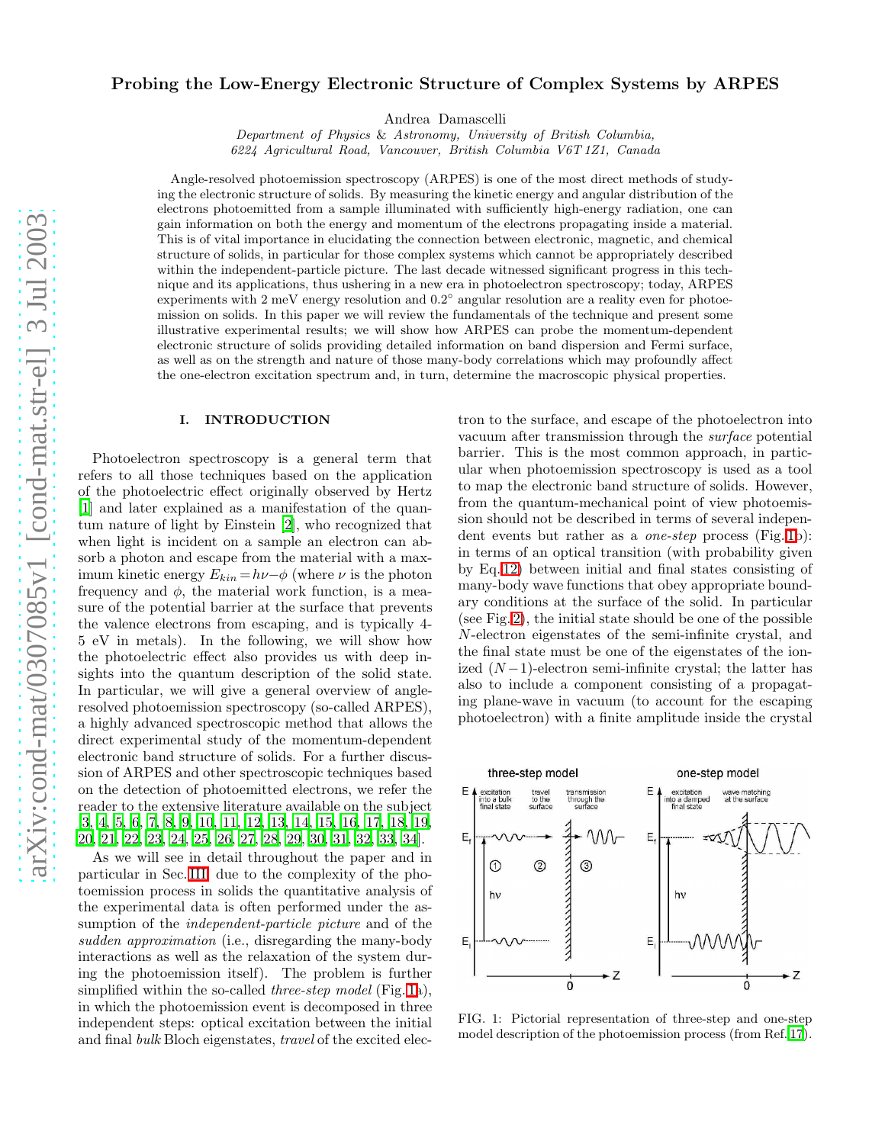# Probing the Low-Energy Electronic Structure of Complex Systems by ARPES

Andrea Damascelli

Department of Physics & Astronomy, University of British Columbia, 6224 Agricultural Road, Vancouver, British Columbia V6T 1Z1, Canada

Angle-resolved photoemission spectroscopy (ARPES) is one of the most direct methods of studying the electronic structure of solids. By measuring the kinetic energy and angular distribution of the electrons photoemitted from a sample illuminated with sufficiently high-energy radiation, one can gain information on both the energy and momentum of the electrons propagating inside a material. This is of vital importance in elucidating the connection between electronic, magnetic, and chemical structure of solids, in particular for those complex systems which cannot be appropriately described within the independent-particle picture. The last decade witnessed significant progress in this technique and its applications, thus ushering in a new era in photoelectron spectroscopy; today, ARPES experiments with 2 meV energy resolution and  $0.2^{\circ}$  angular resolution are a reality even for photoemission on solids. In this paper we will review the fundamentals of the technique and present some illustrative experimental results; we will show how ARPES can probe the momentum-dependent electronic structure of solids providing detailed information on band dispersion and Fermi surface, as well as on the strength and nature of those many-body correlations which may profoundly affect the one-electron excitation spectrum and, in turn, determine the macroscopic physical properties.

#### I. INTRODUCTION

Photoelectron spectroscopy is a general term that refers to all those techniques based on the application of the photoelectric effect originally observed by Hertz [\[1\]](#page-13-0) and later explained as a manifestation of the quantum nature of light by Einstein [\[2](#page-13-1)], who recognized that when light is incident on a sample an electron can absorb a photon and escape from the material with a maximum kinetic energy  $E_{kin} = h\nu-\phi$  (where  $\nu$  is the photon frequency and  $\phi$ , the material work function, is a measure of the potential barrier at the surface that prevents the valence electrons from escaping, and is typically 4- 5 eV in metals). In the following, we will show how the photoelectric effect also provides us with deep insights into the quantum description of the solid state. In particular, we will give a general overview of angleresolved photoemission spectroscopy (so-called ARPES), a highly advanced spectroscopic method that allows the direct experimental study of the momentum-dependent electronic band structure of solids. For a further discussion of ARPES and other spectroscopic techniques based on the detection of photoemitted electrons, we refer the reader to the extensive literature available on the subject [\[3,](#page-13-2) [4](#page-13-3), [5,](#page-13-4) [6](#page-13-5), [7,](#page-13-6) [8,](#page-13-7) [9](#page-13-8), [10,](#page-13-9) [11](#page-13-10), [12,](#page-13-11) [13](#page-13-12), [14,](#page-13-13) [15](#page-13-14), [16,](#page-13-15) [17](#page-13-16), [18,](#page-13-17) [19](#page-13-18), [20,](#page-13-19) [21](#page-13-20), [22](#page-13-21), [23](#page-13-22), [24](#page-13-23), [25](#page-13-24), [26](#page-13-25), [27](#page-13-26), [28](#page-13-27), [29,](#page-13-28) [30,](#page-13-29) [31,](#page-13-30) [32,](#page-13-31) [33,](#page-13-32) [34\]](#page-13-33).

As we will see in detail throughout the paper and in particular in Sec. [III,](#page-3-0) due to the complexity of the photoemission process in solids the quantitative analysis of the experimental data is often performed under the assumption of the independent-particle picture and of the sudden approximation (i.e., disregarding the many-body interactions as well as the relaxation of the system during the photoemission itself). The problem is further simplified within the so-called *three-step model* (Fig. [1a](#page-0-0)), in which the photoemission event is decomposed in three independent steps: optical excitation between the initial and final bulk Bloch eigenstates, travel of the excited electron to the surface, and escape of the photoelectron into vacuum after transmission through the surface potential barrier. This is the most common approach, in particular when photoemission spectroscopy is used as a tool to map the electronic band structure of solids. However, from the quantum-mechanical point of view photoemission should not be described in terms of several independent events but rather as a *one-step* process (Fig. [1b](#page-0-0)): in terms of an optical transition (with probability given by Eq. [12\)](#page-3-1) between initial and final states consisting of many-body wave functions that obey appropriate boundary conditions at the surface of the solid. In particular (see Fig. [2\)](#page-1-0), the initial state should be one of the possible N-electron eigenstates of the semi-infinite crystal, and the final state must be one of the eigenstates of the ionized  $(N-1)$ -electron semi-infinite crystal; the latter has also to include a component consisting of a propagating plane-wave in vacuum (to account for the escaping photoelectron) with a finite amplitude inside the crystal



<span id="page-0-0"></span>FIG. 1: Pictorial representation of three-step and one-step model description of the photoemission process (from Ref. [17\)](#page-13-16).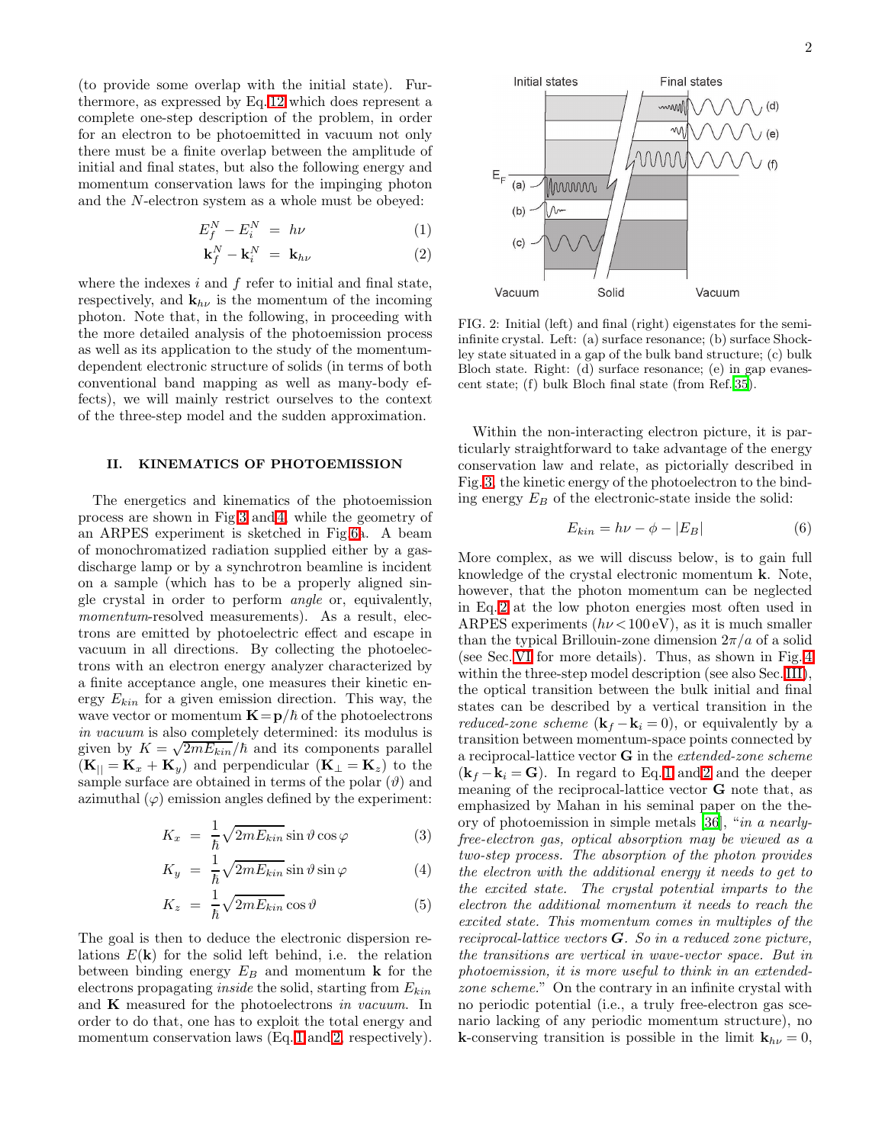(to provide some overlap with the initial state). Furthermore, as expressed by Eq. [12](#page-3-1) which does represent a complete one-step description of the problem, in order for an electron to be photoemitted in vacuum not only there must be a finite overlap between the amplitude of initial and final states, but also the following energy and momentum conservation laws for the impinging photon and the N-electron system as a whole must be obeyed:

$$
E_f^N - E_i^N = h\nu \tag{1}
$$

$$
\mathbf{k}_f^N - \mathbf{k}_i^N = \mathbf{k}_{h\nu} \tag{2}
$$

<span id="page-1-1"></span>where the indexes  $i$  and  $f$  refer to initial and final state, respectively, and  $\mathbf{k}_{h\nu}$  is the momentum of the incoming photon. Note that, in the following, in proceeding with the more detailed analysis of the photoemission process as well as its application to the study of the momentumdependent electronic structure of solids (in terms of both conventional band mapping as well as many-body effects), we will mainly restrict ourselves to the context of the three-step model and the sudden approximation.

## II. KINEMATICS OF PHOTOEMISSION

The energetics and kinematics of the photoemission process are shown in Fig[.3](#page-2-0) and [4,](#page-2-1) while the geometry of an ARPES experiment is sketched in Fig[.6a](#page-5-0). A beam of monochromatized radiation supplied either by a gasdischarge lamp or by a synchrotron beamline is incident on a sample (which has to be a properly aligned single crystal in order to perform angle or, equivalently, momentum-resolved measurements). As a result, electrons are emitted by photoelectric effect and escape in vacuum in all directions. By collecting the photoelectrons with an electron energy analyzer characterized by a finite acceptance angle, one measures their kinetic energy  $E_{kin}$  for a given emission direction. This way, the wave vector or momentum  $\mathbf{K}=\mathbf{p}/\hbar$  of the photoelectrons in vacuum is also completely determined: its modulus is given by  $K = \sqrt{2mE_{kin}}/\hbar$  and its components parallel  $(K_{\parallel} = K_x + K_y)$  and perpendicular  $(K_{\perp} = K_z)$  to the sample surface are obtained in terms of the polar  $(\vartheta)$  and azimuthal  $(\varphi)$  emission angles defined by the experiment:

<span id="page-1-2"></span>
$$
K_x = \frac{1}{\hbar} \sqrt{2mE_{kin}} \sin \vartheta \cos \varphi \tag{3}
$$

$$
K_y = \frac{1}{\hbar} \sqrt{2mE_{kin}} \sin \vartheta \sin \varphi \tag{4}
$$

$$
K_z = \frac{1}{\hbar} \sqrt{2mE_{kin}} \cos \vartheta \tag{5}
$$

The goal is then to deduce the electronic dispersion relations  $E(\mathbf{k})$  for the solid left behind, i.e. the relation between binding energy  $E_B$  and momentum **k** for the electrons propagating *inside* the solid, starting from  $E_{kin}$ and  $\bf{K}$  measured for the photoelectrons in vacuum. In order to do that, one has to exploit the total energy and momentum conservation laws (Eq. [1](#page-1-1) and [2,](#page-1-1) respectively).



<span id="page-1-0"></span>FIG. 2: Initial (left) and final (right) eigenstates for the semiinfinite crystal. Left: (a) surface resonance; (b) surface Shockley state situated in a gap of the bulk band structure; (c) bulk Bloch state. Right: (d) surface resonance; (e) in gap evanescent state; (f) bulk Bloch final state (from Ref. [35\)](#page-13-34).

Within the non-interacting electron picture, it is particularly straightforward to take advantage of the energy conservation law and relate, as pictorially described in Fig. [3,](#page-2-0) the kinetic energy of the photoelectron to the binding energy  $E_B$  of the electronic-state inside the solid:

$$
E_{kin} = h\nu - \phi - |E_B| \tag{6}
$$

More complex, as we will discuss below, is to gain full knowledge of the crystal electronic momentum k. Note, however, that the photon momentum can be neglected in Eq. [2](#page-1-1) at the low photon energies most often used in ARPES experiments  $(h\nu < 100 \text{ eV})$ , as it is much smaller than the typical Brillouin-zone dimension  $2\pi/a$  of a solid (see Sec. [VI](#page-8-0) for more details). Thus, as shown in Fig. [4](#page-2-1) within the three-step model description (see also Sec. [III\)](#page-3-0), the optical transition between the bulk initial and final states can be described by a vertical transition in the *reduced-zone scheme* ( $\mathbf{k}_f - \mathbf{k}_i = 0$ ), or equivalently by a transition between momentum-space points connected by a reciprocal-lattice vector G in the extended-zone scheme  $(k_f - k_i = G)$ . In regard to Eq. [1](#page-1-1) and [2](#page-1-1) and the deeper meaning of the reciprocal-lattice vector G note that, as emphasized by Mahan in his seminal paper on the theory of photoemission in simple metals [\[36\]](#page-13-35), "in a nearlyfree-electron gas, optical absorption may be viewed as a two-step process. The absorption of the photon provides the electron with the additional energy it needs to get to the excited state. The crystal potential imparts to the electron the additional momentum it needs to reach the excited state. This momentum comes in multiples of the reciprocal-lattice vectors  $G$ . So in a reduced zone picture, the transitions are vertical in wave-vector space. But in photoemission, it is more useful to think in an extendedzone scheme." On the contrary in an infinite crystal with no periodic potential (i.e., a truly free-electron gas scenario lacking of any periodic momentum structure), no **k**-conserving transition is possible in the limit  $\mathbf{k}_{h\nu} = 0$ ,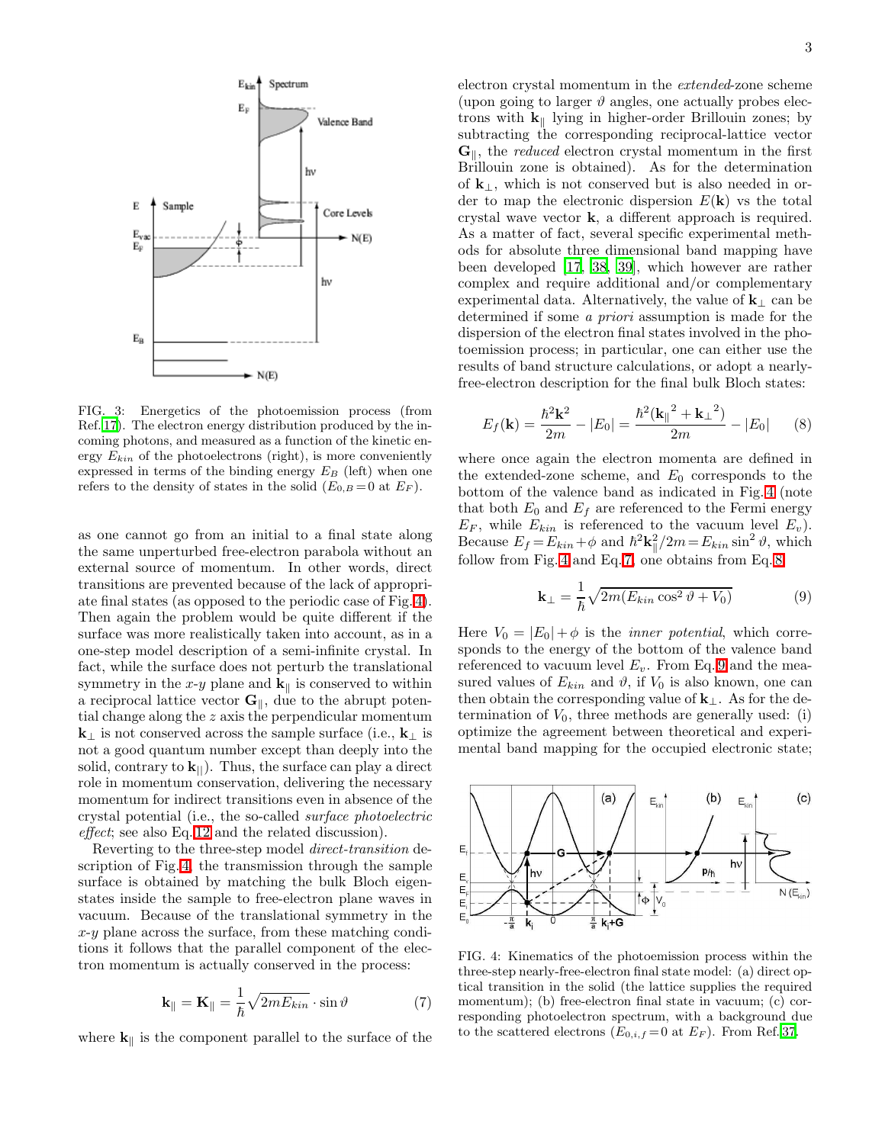

<span id="page-2-0"></span>FIG. 3: Energetics of the photoemission process (from Ref. [17\)](#page-13-16). The electron energy distribution produced by the incoming photons, and measured as a function of the kinetic energy  $E_{kin}$  of the photoelectrons (right), is more conveniently expressed in terms of the binding energy  $E_B$  (left) when one refers to the density of states in the solid  $(E_{0,B}=0$  at  $E_F)$ .

as one cannot go from an initial to a final state along the same unperturbed free-electron parabola without an external source of momentum. In other words, direct transitions are prevented because of the lack of appropriate final states (as opposed to the periodic case of Fig. [4\)](#page-2-1). Then again the problem would be quite different if the surface was more realistically taken into account, as in a one-step model description of a semi-infinite crystal. In fact, while the surface does not perturb the translational symmetry in the x-y plane and  $\mathbf{k}_{\parallel}$  is conserved to within a reciprocal lattice vector  $\mathbf{G}_{\parallel}$ , due to the abrupt potential change along the z axis the perpendicular momentum  $k<sub>⊥</sub>$  is not conserved across the sample surface (i.e.,  $k<sub>⊥</sub>$  is not a good quantum number except than deeply into the solid, contrary to  $\mathbf{k}_{\parallel}$ ). Thus, the surface can play a direct role in momentum conservation, delivering the necessary momentum for indirect transitions even in absence of the crystal potential (i.e., the so-called surface photoelectric effect; see also Eq. [12](#page-3-1) and the related discussion).

Reverting to the three-step model direct-transition description of Fig. [4,](#page-2-1) the transmission through the sample surface is obtained by matching the bulk Bloch eigenstates inside the sample to free-electron plane waves in vacuum. Because of the translational symmetry in the  $x-y$  plane across the surface, from these matching conditions it follows that the parallel component of the electron momentum is actually conserved in the process:

$$
\mathbf{k}_{\parallel} = \mathbf{K}_{\parallel} = \frac{1}{\hbar} \sqrt{2mE_{kin}} \cdot \sin \vartheta \tag{7}
$$

<span id="page-2-2"></span>where  $\mathbf{k}_{\parallel}$  is the component parallel to the surface of the

electron crystal momentum in the extended-zone scheme (upon going to larger  $\vartheta$  angles, one actually probes electrons with  $k_{\parallel}$  lying in higher-order Brillouin zones; by subtracting the corresponding reciprocal-lattice vector  $\mathbf{G}_{\parallel}$ , the *reduced* electron crystal momentum in the first Brillouin zone is obtained). As for the determination of  $k_{\perp}$ , which is not conserved but is also needed in order to map the electronic dispersion  $E(\mathbf{k})$  vs the total crystal wave vector k, a different approach is required. As a matter of fact, several specific experimental methods for absolute three dimensional band mapping have been developed [\[17](#page-13-16), [38,](#page-13-36) [39\]](#page-13-37), which however are rather complex and require additional and/or complementary experimental data. Alternatively, the value of  $\mathbf{k}_{\perp}$  can be determined if some a priori assumption is made for the dispersion of the electron final states involved in the photoemission process; in particular, one can either use the results of band structure calculations, or adopt a nearlyfree-electron description for the final bulk Bloch states:

$$
E_f(\mathbf{k}) = \frac{\hbar^2 \mathbf{k}^2}{2m} - |E_0| = \frac{\hbar^2 (\mathbf{k}_{\parallel}^2 + \mathbf{k}_{\perp}^2)}{2m} - |E_0| \qquad (8)
$$

<span id="page-2-3"></span>where once again the electron momenta are defined in the extended-zone scheme, and  $E_0$  corresponds to the bottom of the valence band as indicated in Fig. [4](#page-2-1) (note that both  $E_0$  and  $E_f$  are referenced to the Fermi energy  $E_F$ , while  $E_{kin}$  is referenced to the vacuum level  $E_v$ ). Because  $E_f = E_{kin} + \phi$  and  $\hbar^2 \mathbf{k}_{\parallel}^2 / 2m = E_{kin} \sin^2 \vartheta$ , which follow from Fig. [4](#page-2-1) and Eq. [7,](#page-2-2) one obtains from Eq. [8:](#page-2-3)

$$
\mathbf{k}_{\perp} = \frac{1}{\hbar} \sqrt{2m(E_{kin}\cos^2\vartheta + V_0)}\tag{9}
$$

<span id="page-2-4"></span>Here  $V_0 = |E_0| + \phi$  is the *inner potential*, which corresponds to the energy of the bottom of the valence band referenced to vacuum level  $E_v$ . From Eq. [9](#page-2-4) and the measured values of  $E_{kin}$  and  $\vartheta$ , if  $V_0$  is also known, one can then obtain the corresponding value of  $k_{\perp}$ . As for the determination of  $V_0$ , three methods are generally used: (i) optimize the agreement between theoretical and experimental band mapping for the occupied electronic state;



<span id="page-2-1"></span>FIG. 4: Kinematics of the photoemission process within the three-step nearly-free-electron final state model: (a) direct optical transition in the solid (the lattice supplies the required momentum); (b) free-electron final state in vacuum; (c) corresponding photoelectron spectrum, with a background due to the scattered electrons  $(E_{0,i,f}=0$  at  $E_F$ ). From Ref. [37.](#page-13-38)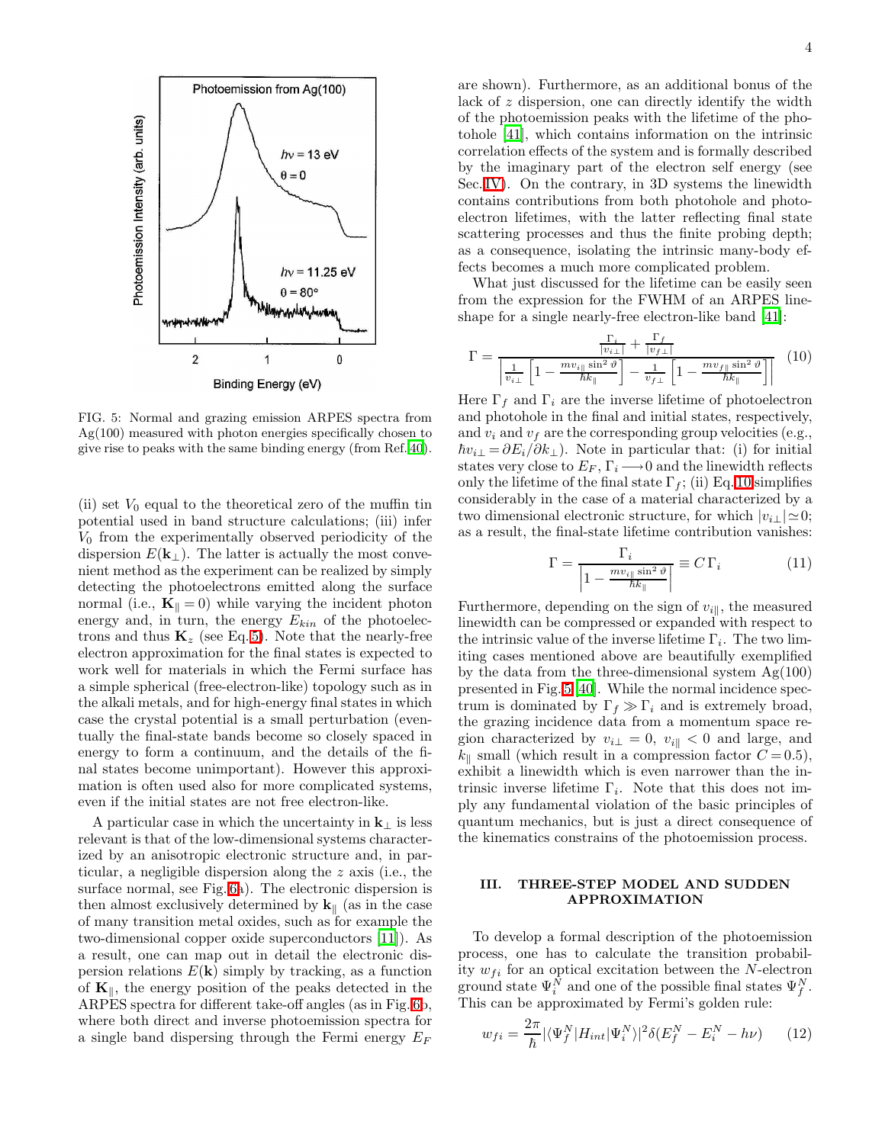

<span id="page-3-3"></span>FIG. 5: Normal and grazing emission ARPES spectra from Ag(100) measured with photon energies specifically chosen to give rise to peaks with the same binding energy (from Ref. [40\)](#page-13-39).

(ii) set  $V_0$  equal to the theoretical zero of the muffin tin potential used in band structure calculations; (iii) infer  $V_0$  from the experimentally observed periodicity of the dispersion  $E(\mathbf{k}_{\perp})$ . The latter is actually the most convenient method as the experiment can be realized by simply detecting the photoelectrons emitted along the surface normal (i.e.,  $\mathbf{K}_{\parallel} = 0$ ) while varying the incident photon energy and, in turn, the energy  $E_{kin}$  of the photoelectrons and thus  $\mathbf{K}_z$  (see Eq. [5\)](#page-1-2). Note that the nearly-free electron approximation for the final states is expected to work well for materials in which the Fermi surface has a simple spherical (free-electron-like) topology such as in the alkali metals, and for high-energy final states in which case the crystal potential is a small perturbation (eventually the final-state bands become so closely spaced in energy to form a continuum, and the details of the final states become unimportant). However this approximation is often used also for more complicated systems, even if the initial states are not free electron-like.

A particular case in which the uncertainty in  $k_\perp$  is less relevant is that of the low-dimensional systems characterized by an anisotropic electronic structure and, in particular, a negligible dispersion along the z axis (i.e., the surface normal, see Fig. [6a](#page-5-0)). The electronic dispersion is then almost exclusively determined by  $\mathbf{k}_{\parallel}$  (as in the case of many transition metal oxides, such as for example the two-dimensional copper oxide superconductors [\[11](#page-13-10)]). As a result, one can map out in detail the electronic dispersion relations  $E(\mathbf{k})$  simply by tracking, as a function of  $K_{\parallel}$ , the energy position of the peaks detected in the ARPES spectra for different take-off angles (as in Fig. [6b](#page-5-0), where both direct and inverse photoemission spectra for a single band dispersing through the Fermi energy  $E_F$ 

are shown). Furthermore, as an additional bonus of the lack of z dispersion, one can directly identify the width of the photoemission peaks with the lifetime of the photohole [\[41\]](#page-13-40), which contains information on the intrinsic correlation effects of the system and is formally described by the imaginary part of the electron self energy (see Sec. [IV\)](#page-5-1). On the contrary, in 3D systems the linewidth contains contributions from both photohole and photoelectron lifetimes, with the latter reflecting final state scattering processes and thus the finite probing depth; as a consequence, isolating the intrinsic many-body effects becomes a much more complicated problem.

What just discussed for the lifetime can be easily seen from the expression for the FWHM of an ARPES lineshape for a single nearly-free electron-like band [\[41](#page-13-40)]:

<span id="page-3-2"></span>
$$
\Gamma = \frac{\frac{\Gamma_i}{|v_{i\perp}|} + \frac{\Gamma_f}{|v_{f\perp}|}}{\left|\frac{1}{v_{i\perp}}\left[1 - \frac{mv_{i\parallel}\sin^2\vartheta}{\hbar k_{\parallel}}\right] - \frac{1}{v_{f\perp}}\left[1 - \frac{mv_{f\parallel}\sin^2\vartheta}{\hbar k_{\parallel}}\right]\right|} \tag{10}
$$

Here  $\Gamma_f$  and  $\Gamma_i$  are the inverse lifetime of photoelectron and photohole in the final and initial states, respectively, and  $v_i$  and  $v_f$  are the corresponding group velocities (e.g.,  $\hbar v_{i\perp} = \partial E_i/\partial k_{\perp}$ ). Note in particular that: (i) for initial states very close to  $E_F$ ,  $\Gamma_i \longrightarrow 0$  and the linewidth reflects only the lifetime of the final state  $\Gamma_f$ ; (ii) Eq. [10](#page-3-2) simplifies considerably in the case of a material characterized by a two dimensional electronic structure, for which  $|v_{i\perp}| \simeq 0$ ; as a result, the final-state lifetime contribution vanishes:

$$
\Gamma = \frac{\Gamma_i}{\left|1 - \frac{m v_{i\parallel} \sin^2 \vartheta}{\hbar k_{\parallel}}\right|} \equiv C \,\Gamma_i \tag{11}
$$

Furthermore, depending on the sign of  $v_{i\parallel}$ , the measured linewidth can be compressed or expanded with respect to the intrinsic value of the inverse lifetime  $\Gamma_i$ . The two limiting cases mentioned above are beautifully exemplified by the data from the three-dimensional system  $Ag(100)$ presented in Fig. [5](#page-3-3) [\[40\]](#page-13-39). While the normal incidence spectrum is dominated by  $\Gamma_f \gg \Gamma_i$  and is extremely broad, the grazing incidence data from a momentum space region characterized by  $v_{i\perp} = 0$ ,  $v_{i\parallel} < 0$  and large, and  $k_{\parallel}$  small (which result in a compression factor  $C = 0.5$ ), exhibit a linewidth which is even narrower than the intrinsic inverse lifetime  $\Gamma_i$ . Note that this does not imply any fundamental violation of the basic principles of quantum mechanics, but is just a direct consequence of the kinematics constrains of the photoemission process.

### III. THREE-STEP MODEL AND SUDDEN APPROXIMATION

<span id="page-3-0"></span>To develop a formal description of the photoemission process, one has to calculate the transition probability  $w_{fi}$  for an optical excitation between the N-electron ground state  $\Psi_i^N$  and one of the possible final states  $\Psi_f^N$ . This can be approximated by Fermi's golden rule:

<span id="page-3-1"></span>
$$
w_{fi} = \frac{2\pi}{\hbar} |\langle \Psi_f^N | H_{int} | \Psi_i^N \rangle|^2 \delta(E_f^N - E_i^N - h\nu) \qquad (12)
$$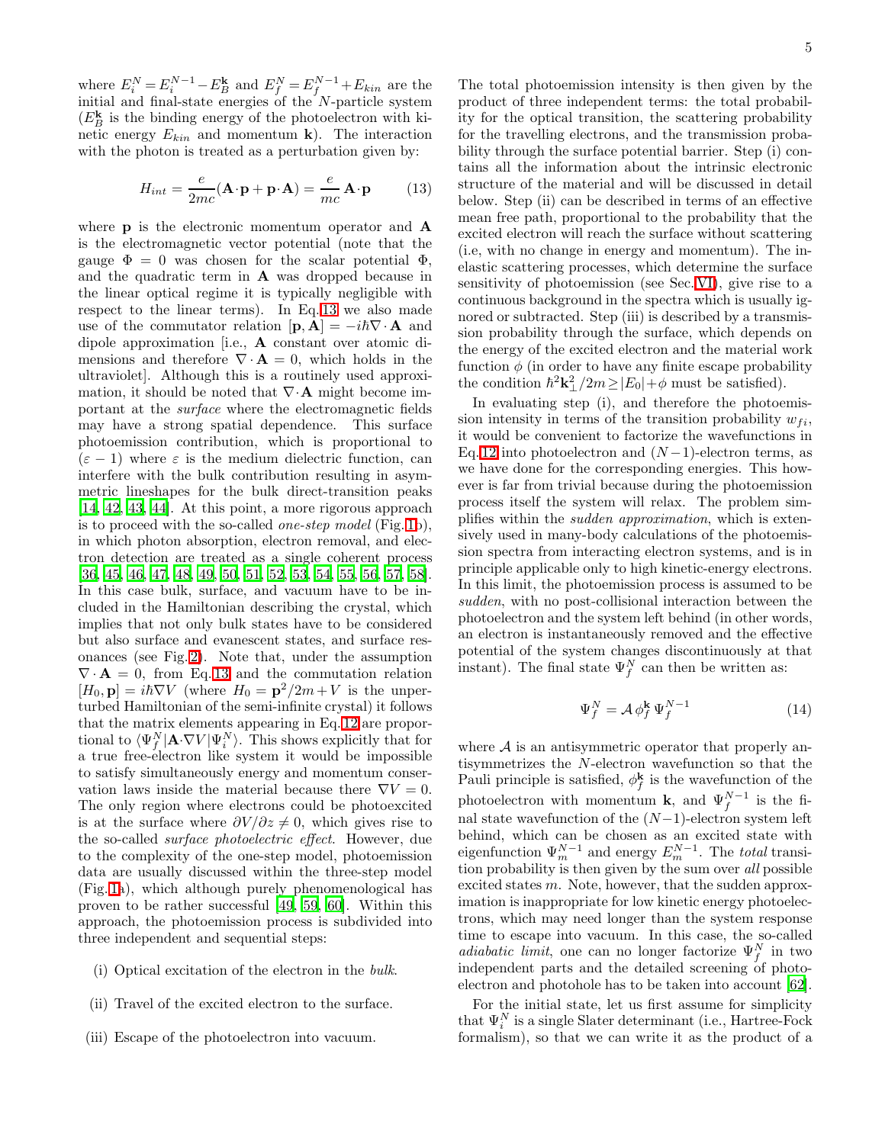where  $E_i^N = E_i^{N-1} - E_B^k$  and  $E_f^N = E_f^{N-1} + E_{kin}$  are the initial and final-state energies of the N-particle system  $(E_B^{\mathbf{k}})$  is the binding energy of the photoelectron with kinetic energy  $E_{kin}$  and momentum **k**). The interaction with the photon is treated as a perturbation given by:

$$
H_{int} = \frac{e}{2mc} (\mathbf{A} \cdot \mathbf{p} + \mathbf{p} \cdot \mathbf{A}) = \frac{e}{mc} \mathbf{A} \cdot \mathbf{p}
$$
 (13)

<span id="page-4-0"></span>where **p** is the electronic momentum operator and **A** is the electromagnetic vector potential (note that the gauge  $\Phi = 0$  was chosen for the scalar potential  $\Phi$ , and the quadratic term in A was dropped because in the linear optical regime it is typically negligible with respect to the linear terms). In Eq. [13](#page-4-0) we also made use of the commutator relation  $[\mathbf{p}, \mathbf{A}] = -i\hbar \nabla \cdot \mathbf{A}$  and dipole approximation [i.e., A constant over atomic dimensions and therefore  $\nabla \cdot \mathbf{A} = 0$ , which holds in the ultraviolet]. Although this is a routinely used approximation, it should be noted that  $\nabla \cdot \mathbf{A}$  might become important at the surface where the electromagnetic fields may have a strong spatial dependence. This surface photoemission contribution, which is proportional to  $(\varepsilon - 1)$  where  $\varepsilon$  is the medium dielectric function, can interfere with the bulk contribution resulting in asymmetric lineshapes for the bulk direct-transition peaks [\[14,](#page-13-13) [42,](#page-13-41) [43,](#page-13-42) [44](#page-13-43)]. At this point, a more rigorous approach is to proceed with the so-called one-step model (Fig. [1b](#page-0-0)), in which photon absorption, electron removal, and electron detection are treated as a single coherent process [\[36,](#page-13-35) [45,](#page-13-44) [46](#page-13-45), [47](#page-13-46), [48,](#page-13-47) [49,](#page-13-48) [50,](#page-13-49) [51](#page-13-50), [52](#page-13-51), [53,](#page-13-52) [54,](#page-13-53) [55,](#page-13-54) [56](#page-13-55), [57](#page-13-56), [58\]](#page-13-57). In this case bulk, surface, and vacuum have to be included in the Hamiltonian describing the crystal, which implies that not only bulk states have to be considered but also surface and evanescent states, and surface resonances (see Fig. [2\)](#page-1-0). Note that, under the assumption  $\nabla \cdot \mathbf{A} = 0$ , from Eq. [13](#page-4-0) and the commutation relation  $[H_0, \mathbf{p}] = i\hbar \nabla V$  (where  $H_0 = \mathbf{p}^2/2m + V$  is the unperturbed Hamiltonian of the semi-infinite crystal) it follows that the matrix elements appearing in Eq. [12](#page-3-1) are proportional to  $\langle \Psi_f^N | \mathbf{A} \cdot \nabla V | \Psi_i^N \rangle$ . This shows explicitly that for a true free-electron like system it would be impossible to satisfy simultaneously energy and momentum conservation laws inside the material because there  $\nabla V = 0$ . The only region where electrons could be photoexcited is at the surface where  $\partial V/\partial z \neq 0$ , which gives rise to the so-called surface photoelectric effect. However, due to the complexity of the one-step model, photoemission data are usually discussed within the three-step model (Fig. [1a](#page-0-0)), which although purely phenomenological has proven to be rather successful [\[49](#page-13-48), [59,](#page-13-58) [60\]](#page-14-0). Within this approach, the photoemission process is subdivided into three independent and sequential steps:

- (i) Optical excitation of the electron in the bulk.
- (ii) Travel of the excited electron to the surface.
- (iii) Escape of the photoelectron into vacuum.

The total photoemission intensity is then given by the product of three independent terms: the total probability for the optical transition, the scattering probability for the travelling electrons, and the transmission probability through the surface potential barrier. Step (i) contains all the information about the intrinsic electronic structure of the material and will be discussed in detail below. Step (ii) can be described in terms of an effective mean free path, proportional to the probability that the excited electron will reach the surface without scattering (i.e, with no change in energy and momentum). The inelastic scattering processes, which determine the surface sensitivity of photoemission (see Sec. [VI\)](#page-8-0), give rise to a continuous background in the spectra which is usually ignored or subtracted. Step (iii) is described by a transmission probability through the surface, which depends on the energy of the excited electron and the material work function  $\phi$  (in order to have any finite escape probability the condition  $\hbar^2 \mathbf{k}_\perp^2 / 2m \ge |E_0| + \phi$  must be satisfied).

In evaluating step (i), and therefore the photoemission intensity in terms of the transition probability  $w_{fi}$ , it would be convenient to factorize the wavefunctions in Eq. [12](#page-3-1) into photoelectron and  $(N-1)$ -electron terms, as we have done for the corresponding energies. This however is far from trivial because during the photoemission process itself the system will relax. The problem simplifies within the sudden approximation, which is extensively used in many-body calculations of the photoemission spectra from interacting electron systems, and is in principle applicable only to high kinetic-energy electrons. In this limit, the photoemission process is assumed to be sudden, with no post-collisional interaction between the photoelectron and the system left behind (in other words, an electron is instantaneously removed and the effective potential of the system changes discontinuously at that instant). The final state  $\Psi_f^N$  can then be written as:

$$
\Psi_f^N = \mathcal{A} \phi_f^k \Psi_f^{N-1} \tag{14}
$$

where  $A$  is an antisymmetric operator that properly antisymmetrizes the N-electron wavefunction so that the Pauli principle is satisfied,  $\phi_f^{\mathbf{k}}$  $f$  is the wavefunction of the photoelectron with momentum **k**, and  $\Psi_f^{N-1}$  is the final state wavefunction of the  $(N-1)$ -electron system left behind, which can be chosen as an excited state with eigenfunction  $\Psi_m^{N-1}$  and energy  $E_m^{N-1}$ . The *total* transition probability is then given by the sum over all possible excited states  $m$ . Note, however, that the sudden approximation is inappropriate for low kinetic energy photoelectrons, which may need longer than the system response time to escape into vacuum. In this case, the so-called *adiabatic limit*, one can no longer factorize  $\Psi_f^N$  in two independent parts and the detailed screening of photoelectron and photohole has to be taken into account [\[62\]](#page-14-1).

For the initial state, let us first assume for simplicity that  $\Psi^N_i$  is a single Slater determinant (i.e., Hartree-Fock formalism), so that we can write it as the product of a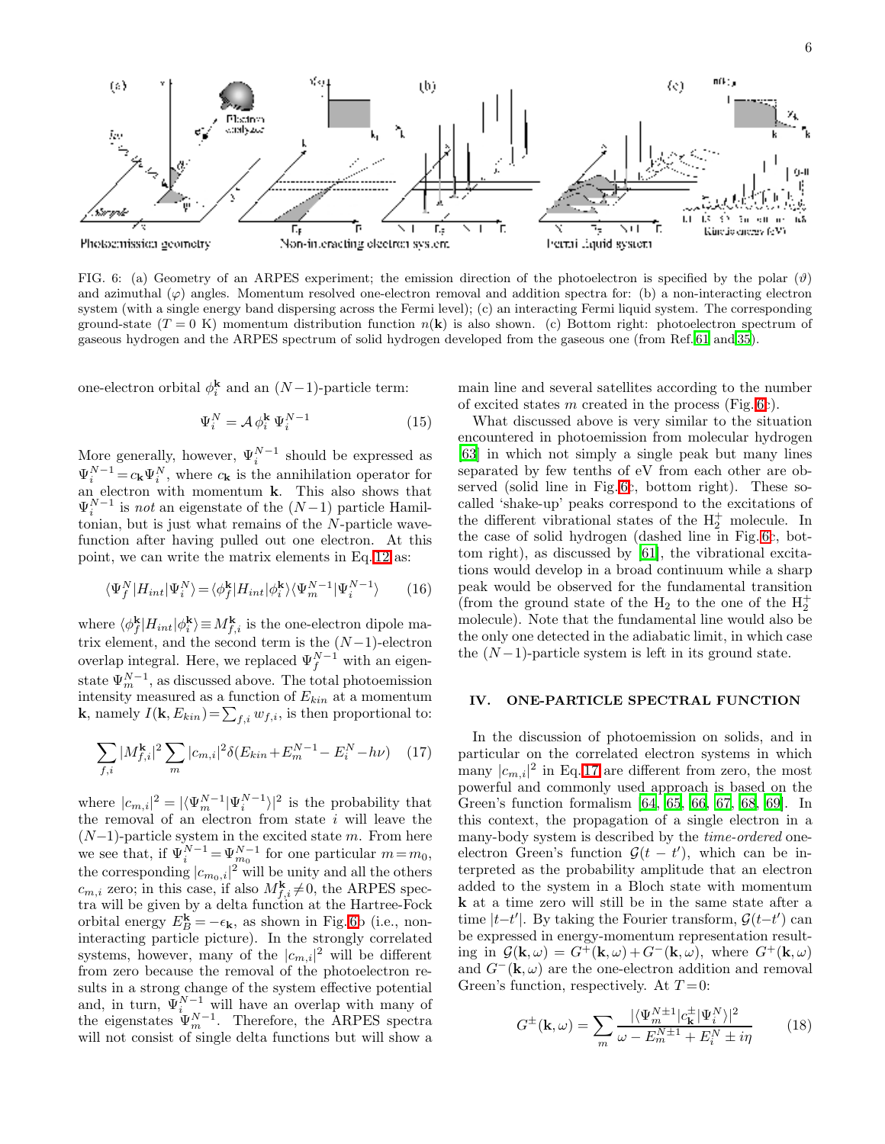

<span id="page-5-0"></span>FIG. 6: (a) Geometry of an ARPES experiment; the emission direction of the photoelectron is specified by the polar ( $\vartheta$ ) and azimuthal  $(\varphi)$  angles. Momentum resolved one-electron removal and addition spectra for: (b) a non-interacting electron system (with a single energy band dispersing across the Fermi level); (c) an interacting Fermi liquid system. The corresponding ground-state  $(T = 0 \text{ K})$  momentum distribution function  $n(\mathbf{k})$  is also shown. (c) Bottom right: photoelectron spectrum of gaseous hydrogen and the ARPES spectrum of solid hydrogen developed from the gaseous one (from Ref. [61](#page-14-2) and [35](#page-13-34)).

one-electron orbital  $\phi_i^{\mathbf{k}}$  and an  $(N-1)$ -particle term:

$$
\Psi_i^N = \mathcal{A} \,\phi_i^k \,\Psi_i^{N-1} \tag{15}
$$

More generally, however,  $\Psi_i^{N-1}$  should be expressed as  $\Psi_i^{N-1} = c_{\mathbf{k}} \Psi_i^N$ , where  $c_{\mathbf{k}}$  is the annihilation operator for an electron with momentum k. This also shows that  $\Psi_i^{N-1}$  is *not* an eigenstate of the  $(N-1)$  particle Hamiltonian, but is just what remains of the N-particle wavefunction after having pulled out one electron. At this point, we can write the matrix elements in Eq. [12](#page-3-1) as:

$$
\langle \Psi_f^N | H_{int} | \Psi_i^N \rangle = \langle \phi_f^k | H_{int} | \phi_i^k \rangle \langle \Psi_m^{N-1} | \Psi_i^{N-1} \rangle \tag{16}
$$

where  $\langle \phi_f^{\mathbf{k}} \rangle$  $f^{\mathbf{k}}_f|H_{int}|\phi_i^{\mathbf{k}}\rangle \equiv M_{f,i}^{\mathbf{k}}$  is the one-electron dipole matrix element, and the second term is the  $(N-1)$ -electron overlap integral. Here, we replaced  $\Psi_f^{N-1}$  with an eigenstate  $\Psi_m^{N-1}$ , as discussed above. The total photoemission intensity measured as a function of  $E_{kin}$  at a momentum **k**, namely  $I(\mathbf{k}, E_{kin}) = \sum_{f,i} w_{f,i}$ , is then proportional to:

<span id="page-5-2"></span>
$$
\sum_{f,i} |M_{f,i}^{k}|^2 \sum_{m} |c_{m,i}|^2 \delta(E_{kin} + E_m^{N-1} - E_i^N - h\nu) \quad (17)
$$

where  $|c_{m,i}|^2 = |\langle \Psi_m^{N-1} | \Psi_i^{N-1} \rangle|^2$  is the probability that the removal of an electron from state  $i$  will leave the  $(N-1)$ -particle system in the excited state m. From here we see that, if  $\Psi_i^{N-1} = \Psi_{m_0}^{N-1}$  for one particular  $m = m_0$ , the corresponding  $|c_{m_0,i}|^2$  will be unity and all the others  $c_{m,i}$  zero; in this case, if also  $M_{f,i}^{\mathbf{k}} \neq 0$ , the ARPES spectra will be given by a delta function at the Hartree-Fock orbital energy  $E_B^{\mathbf{k}} = -\epsilon_{\mathbf{k}}$ , as shown in Fig. [6b](#page-5-0) (i.e., noninteracting particle picture). In the strongly correlated systems, however, many of the  $|c_{m,i}|^2$  will be different from zero because the removal of the photoelectron results in a strong change of the system effective potential and, in turn,  $\Psi_i^{N-1}$  will have an overlap with many of the eigenstates  $\Psi_m^{N-1}$ . Therefore, the ARPES spectra will not consist of single delta functions but will show a

main line and several satellites according to the number of excited states m created in the process (Fig. [6c](#page-5-0)).

What discussed above is very similar to the situation encountered in photoemission from molecular hydrogen [\[63\]](#page-14-3) in which not simply a single peak but many lines separated by few tenths of eV from each other are observed (solid line in Fig. [6c](#page-5-0), bottom right). These socalled 'shake-up' peaks correspond to the excitations of the different vibrational states of the  $H_2^+$  molecule. In the case of solid hydrogen (dashed line in Fig. [6c](#page-5-0), bottom right), as discussed by [\[61](#page-14-2)], the vibrational excitations would develop in a broad continuum while a sharp peak would be observed for the fundamental transition (from the ground state of the  $H_2$  to the one of the  $H_2^+$ molecule). Note that the fundamental line would also be the only one detected in the adiabatic limit, in which case the  $(N-1)$ -particle system is left in its ground state.

### <span id="page-5-1"></span>IV. ONE-PARTICLE SPECTRAL FUNCTION

In the discussion of photoemission on solids, and in particular on the correlated electron systems in which many  $|c_{m,i}|^2$  in Eq. [17](#page-5-2) are different from zero, the most powerful and commonly used approach is based on the Green's function formalism [\[64](#page-14-4), [65](#page-14-5), [66,](#page-14-6) [67,](#page-14-7) [68,](#page-14-8) [69](#page-14-9)]. In this context, the propagation of a single electron in a many-body system is described by the *time-ordered* oneelectron Green's function  $\mathcal{G}(t - t')$ , which can be interpreted as the probability amplitude that an electron added to the system in a Bloch state with momentum k at a time zero will still be in the same state after a time  $|t-t'|$ . By taking the Fourier transform,  $\mathcal{G}(t-t')$  can be expressed in energy-momentum representation resulting in  $\mathcal{G}(\mathbf{k}, \omega) = G^+(\mathbf{k}, \omega) + G^-(\mathbf{k}, \omega)$ , where  $G^+(\mathbf{k}, \omega)$ and  $G^{-}(\mathbf{k}, \omega)$  are the one-electron addition and removal Green's function, respectively. At  $T=0$ :

$$
G^{\pm}(\mathbf{k},\omega) = \sum_{m} \frac{|\langle \Psi_m^{N\pm 1} | c_{\mathbf{k}}^{\pm} | \Psi_i^{N} \rangle|^2}{\omega - E_m^{N\pm 1} + E_i^{N} \pm i\eta}
$$
(18)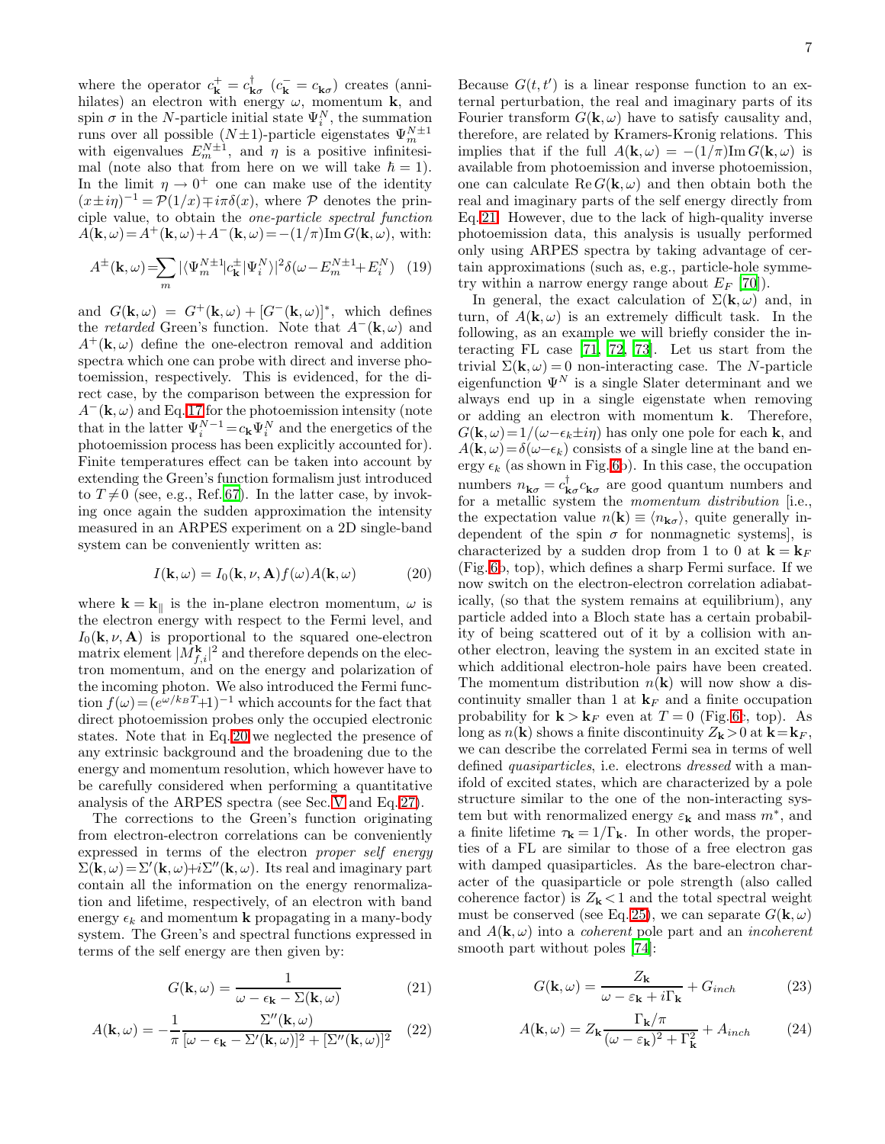where the operator  $c_{\mathbf{k}}^{+} = c_{\mathbf{k}\sigma}^{\dagger}$   $(c_{\mathbf{k}}^{-} = c_{\mathbf{k}\sigma})$  creates (annihilates) an electron with energy  $\omega$ , momentum **k**, and spin  $\sigma$  in the N-particle initial state  $\Psi_i^N$ , the summation runs over all possible  $(N\pm 1)$ -particle eigenstates  $\Psi_m^{N\pm 1}$ with eigenvalues  $E_m^{N\pm 1}$ , and  $\eta$  is a positive infinitesimal (note also that from here on we will take  $\hbar = 1$ ). In the limit  $\eta \to 0^+$  one can make use of the identity  $(x \pm i\eta)^{-1} = \mathcal{P}(1/x) \mp i\pi\delta(x)$ , where  $\mathcal P$  denotes the principle value, to obtain the one-particle spectral function  $A(\mathbf{k}, \omega) = A^+(\mathbf{k}, \omega) + A^-(\mathbf{k}, \omega) = -(1/\pi)\mathrm{Im} G(\mathbf{k}, \omega)$ , with:

$$
A^{\pm}(\mathbf{k},\omega) = \sum_{m} |\langle \Psi_m^{N\pm 1} | c_{\mathbf{k}}^{\pm} | \Psi_i^{N} \rangle|^2 \delta(\omega - E_m^{N\pm 1} + E_i^{N}) \quad (19)
$$

and  $G(\mathbf{k}, \omega) = G^+(\mathbf{k}, \omega) + [G^-(\mathbf{k}, \omega)]^*$ , which defines the *retarded* Green's function. Note that  $A^{-}(\mathbf{k}, \omega)$  and  $A^+({\bf k},\omega)$  define the one-electron removal and addition spectra which one can probe with direct and inverse photoemission, respectively. This is evidenced, for the direct case, by the comparison between the expression for  $A^{-}(\mathbf{k}, \omega)$  and Eq. [17](#page-5-2) for the photoemission intensity (note that in the latter  $\Psi_i^{N-1} = c_{\mathbf{k}} \Psi_i^N$  and the energetics of the photoemission process has been explicitly accounted for). Finite temperatures effect can be taken into account by extending the Green's function formalism just introduced to  $T\neq 0$  (see, e.g., Ref. [67\)](#page-14-7). In the latter case, by invoking once again the sudden approximation the intensity measured in an ARPES experiment on a 2D single-band system can be conveniently written as:

$$
I(\mathbf{k}, \omega) = I_0(\mathbf{k}, \nu, \mathbf{A}) f(\omega) A(\mathbf{k}, \omega)
$$
 (20)

<span id="page-6-0"></span>where  $\mathbf{k} = \mathbf{k}_{\parallel}$  is the in-plane electron momentum,  $\omega$  is the electron energy with respect to the Fermi level, and  $I_0(\mathbf{k}, \nu, \mathbf{A})$  is proportional to the squared one-electron matrix element  $|M_{f,i}^{\mathbf{k}}|^2$  and therefore depends on the electron momentum, and on the energy and polarization of the incoming photon. We also introduced the Fermi function  $f(\omega) = (e^{\omega/k_B T} + 1)^{-1}$  which accounts for the fact that direct photoemission probes only the occupied electronic states. Note that in Eq. [20](#page-6-0) we neglected the presence of any extrinsic background and the broadening due to the energy and momentum resolution, which however have to be carefully considered when performing a quantitative analysis of the ARPES spectra (see Sec. [V](#page-7-0) and Eq. [27\)](#page-7-1).

The corrections to the Green's function originating from electron-electron correlations can be conveniently expressed in terms of the electron proper self energy  $\Sigma(\mathbf{k}, \omega) = \Sigma'(\mathbf{k}, \omega) + i\Sigma''(\mathbf{k}, \omega)$ . Its real and imaginary part contain all the information on the energy renormalization and lifetime, respectively, of an electron with band energy  $\epsilon_k$  and momentum **k** propagating in a many-body system. The Green's and spectral functions expressed in terms of the self energy are then given by:

$$
G(\mathbf{k}, \omega) = \frac{1}{\omega - \epsilon_{\mathbf{k}} - \Sigma(\mathbf{k}, \omega)}
$$
(21)

<span id="page-6-2"></span><span id="page-6-1"></span>
$$
A(\mathbf{k},\omega) = -\frac{1}{\pi} \frac{\Sigma''(\mathbf{k},\omega)}{[\omega - \epsilon_{\mathbf{k}} - \Sigma'(\mathbf{k},\omega)]^2 + [\Sigma''(\mathbf{k},\omega)]^2} \quad (22)
$$

Because  $G(t, t')$  is a linear response function to an external perturbation, the real and imaginary parts of its Fourier transform  $G(\mathbf{k}, \omega)$  have to satisfy causality and, therefore, are related by Kramers-Kronig relations. This implies that if the full  $A(\mathbf{k}, \omega) = -(1/\pi)\text{Im } G(\mathbf{k}, \omega)$  is available from photoemission and inverse photoemission, one can calculate  $\text{Re } G(\mathbf{k}, \omega)$  and then obtain both the real and imaginary parts of the self energy directly from Eq. [21.](#page-6-1) However, due to the lack of high-quality inverse photoemission data, this analysis is usually performed only using ARPES spectra by taking advantage of certain approximations (such as, e.g., particle-hole symmetry within a narrow energy range about  $E_F$  [\[70\]](#page-14-10)).

In general, the exact calculation of  $\Sigma(\mathbf{k}, \omega)$  and, in turn, of  $A(\mathbf{k}, \omega)$  is an extremely difficult task. In the following, as an example we will briefly consider the interacting FL case [\[71,](#page-14-11) [72,](#page-14-12) [73\]](#page-14-13). Let us start from the trivial  $\Sigma(\mathbf{k}, \omega) = 0$  non-interacting case. The N-particle eigenfunction  $\Psi^N$  is a single Slater determinant and we always end up in a single eigenstate when removing or adding an electron with momentum k. Therefore,  $G(\mathbf{k}, \omega) = 1/(\omega - \epsilon_k \pm i\eta)$  has only one pole for each **k**, and  $A(\mathbf{k}, \omega) = \delta(\omega - \epsilon_k)$  consists of a single line at the band energy  $\epsilon_k$  (as shown in Fig. [6b](#page-5-0)). In this case, the occupation numbers  $n_{\mathbf{k}\sigma} = c_{\mathbf{k}\sigma}^{\dagger} c_{\mathbf{k}\sigma}$  are good quantum numbers and for a metallic system the *momentum distribution* [i.e., the expectation value  $n(\mathbf{k}) \equiv \langle n_{\mathbf{k}\sigma} \rangle$ , quite generally independent of the spin  $\sigma$  for nonmagnetic systems, is characterized by a sudden drop from 1 to 0 at  $\mathbf{k} = \mathbf{k}_F$ (Fig. [6b](#page-5-0), top), which defines a sharp Fermi surface. If we now switch on the electron-electron correlation adiabatically, (so that the system remains at equilibrium), any particle added into a Bloch state has a certain probability of being scattered out of it by a collision with another electron, leaving the system in an excited state in which additional electron-hole pairs have been created. The momentum distribution  $n(\mathbf{k})$  will now show a discontinuity smaller than 1 at  $\mathbf{k}_F$  and a finite occupation probability for  $\mathbf{k} > \mathbf{k}_F$  even at  $T = 0$  (Fig. [6c](#page-5-0), top). As long as  $n(\mathbf{k})$  shows a finite discontinuity  $Z_{\mathbf{k}} > 0$  at  $\mathbf{k} = \mathbf{k}_F$ , we can describe the correlated Fermi sea in terms of well defined quasiparticles, i.e. electrons dressed with a manifold of excited states, which are characterized by a pole structure similar to the one of the non-interacting system but with renormalized energy  $\varepsilon_{\mathbf{k}}$  and mass  $m^*$ , and a finite lifetime  $\tau_{\mathbf{k}} = 1/\Gamma_{\mathbf{k}}$ . In other words, the properties of a FL are similar to those of a free electron gas with damped quasiparticles. As the bare-electron character of the quasiparticle or pole strength (also called coherence factor) is  $Z_{\mathbf{k}} < 1$  and the total spectral weight must be conserved (see Eq. [25\)](#page-7-2), we can separate  $G(\mathbf{k}, \omega)$ and  $A(\mathbf{k}, \omega)$  into a *coherent* pole part and an *incoherent* smooth part without poles [\[74\]](#page-14-14):

$$
G(\mathbf{k}, \omega) = \frac{Z_{\mathbf{k}}}{\omega - \varepsilon_{\mathbf{k}} + i\Gamma_{\mathbf{k}}} + G_{inch}
$$
 (23)

$$
A(\mathbf{k}, \omega) = Z_{\mathbf{k}} \frac{\Gamma_{\mathbf{k}}/\pi}{(\omega - \varepsilon_{\mathbf{k}})^2 + \Gamma_{\mathbf{k}}^2} + A_{inch}
$$
 (24)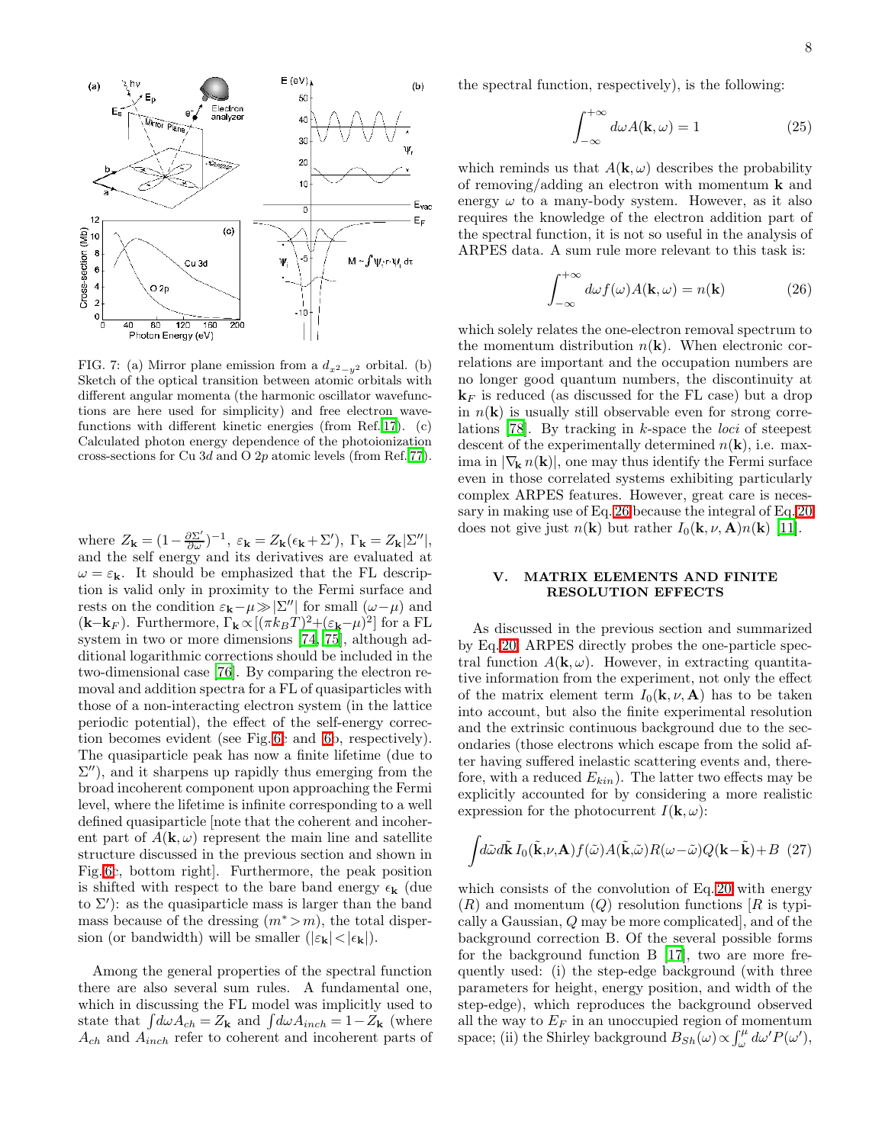

<span id="page-7-4"></span>FIG. 7: (a) Mirror plane emission from a  $d_{x^2-y^2}$  orbital. (b) Sketch of the optical transition between atomic orbitals with different angular momenta (the harmonic oscillator wavefunctions are here used for simplicity) and free electron wavefunctions with different kinetic energies (from Ref. [17](#page-13-16)). (c) Calculated photon energy dependence of the photoionization cross-sections for Cu 3d and O 2p atomic levels (from Ref. [77\)](#page-14-15).

where  $Z_{\mathbf{k}} = (1 - \frac{\partial \Sigma'}{\partial \omega})^{-1}$ ,  $\varepsilon_{\mathbf{k}} = Z_{\mathbf{k}} (\epsilon_{\mathbf{k}} + \Sigma')$ ,  $\Gamma_{\mathbf{k}} = Z_{\mathbf{k}} |\Sigma''|$ , and the self energy and its derivatives are evaluated at  $\omega = \varepsilon_{\mathbf{k}}$ . It should be emphasized that the FL description is valid only in proximity to the Fermi surface and rests on the condition  $\varepsilon_{\mathbf{k}} - \mu \gg |\Sigma''|$  for small  $(\omega - \mu)$  and  $(\mathbf{k}-\mathbf{k}_F)$ . Furthermore,  $\Gamma_{\mathbf{k}} \propto [(\pi k_B T)^2 + (\varepsilon_{\mathbf{k}}-\mu)^2]$  for a FL system in two or more dimensions [\[74,](#page-14-14) [75\]](#page-14-16), although additional logarithmic corrections should be included in the two-dimensional case [\[76\]](#page-14-17). By comparing the electron removal and addition spectra for a FL of quasiparticles with those of a non-interacting electron system (in the lattice periodic potential), the effect of the self-energy correction becomes evident (see Fig. [6c](#page-5-0) and [6b](#page-5-0), respectively). The quasiparticle peak has now a finite lifetime (due to  $\Sigma'$ ), and it sharpens up rapidly thus emerging from the broad incoherent component upon approaching the Fermi level, where the lifetime is infinite corresponding to a well defined quasiparticle [note that the coherent and incoherent part of  $A(\mathbf{k}, \omega)$  represent the main line and satellite structure discussed in the previous section and shown in Fig. [6c](#page-5-0), bottom right]. Furthermore, the peak position is shifted with respect to the bare band energy  $\epsilon_{\mathbf{k}}$  (due to  $\Sigma'$ ): as the quasiparticle mass is larger than the band mass because of the dressing  $(m^* > m)$ , the total dispersion (or bandwidth) will be smaller  $(|\varepsilon_{\mathbf{k}}|<|\epsilon_{\mathbf{k}}|)$ .

Among the general properties of the spectral function there are also several sum rules. A fundamental one, which in discussing the FL model was implicitly used to state that  $\int d\omega A_{ch} = Z_{\mathbf{k}}$  and  $\int d\omega A_{inch} = 1 - Z_{\mathbf{k}}$  (where  $A_{ch}$  and  $A_{inch}$  refer to coherent and incoherent parts of <span id="page-7-2"></span>the spectral function, respectively), is the following:

$$
\int_{-\infty}^{+\infty} d\omega A(\mathbf{k}, \omega) = 1
$$
 (25)

which reminds us that  $A(\mathbf{k}, \omega)$  describes the probability of removing/adding an electron with momentum  $\bf{k}$  and energy  $\omega$  to a many-body system. However, as it also requires the knowledge of the electron addition part of the spectral function, it is not so useful in the analysis of ARPES data. A sum rule more relevant to this task is:

$$
\int_{-\infty}^{+\infty} d\omega f(\omega) A(\mathbf{k}, \omega) = n(\mathbf{k})
$$
 (26)

<span id="page-7-3"></span>which solely relates the one-electron removal spectrum to the momentum distribution  $n(\mathbf{k})$ . When electronic correlations are important and the occupation numbers are no longer good quantum numbers, the discontinuity at  $\mathbf{k}_F$  is reduced (as discussed for the FL case) but a drop in  $n(\mathbf{k})$  is usually still observable even for strong correlations [\[78\]](#page-14-18). By tracking in k-space the loci of steepest descent of the experimentally determined  $n(\mathbf{k})$ , i.e. maxima in  $|\nabla_{\mathbf{k}} n(\mathbf{k})|$ , one may thus identify the Fermi surface even in those correlated systems exhibiting particularly complex ARPES features. However, great care is necessary in making use of Eq. [26](#page-7-3) because the integral of Eq. [20](#page-6-0) does not give just  $n(\mathbf{k})$  but rather  $I_0(\mathbf{k}, \nu, \mathbf{A})n(\mathbf{k})$  [\[11\]](#page-13-10).

### V. MATRIX ELEMENTS AND FINITE RESOLUTION EFFECTS

<span id="page-7-0"></span>As discussed in the previous section and summarized by Eq. [20,](#page-6-0) ARPES directly probes the one-particle spectral function  $A(\mathbf{k}, \omega)$ . However, in extracting quantitative information from the experiment, not only the effect of the matrix element term  $I_0(\mathbf{k}, \nu, \mathbf{A})$  has to be taken into account, but also the finite experimental resolution and the extrinsic continuous background due to the secondaries (those electrons which escape from the solid after having suffered inelastic scattering events and, therefore, with a reduced  $E_{kin}$ ). The latter two effects may be explicitly accounted for by considering a more realistic expression for the photocurrent  $I(\mathbf{k}, \omega)$ :

<span id="page-7-1"></span>
$$
\int d\tilde{\omega} d\tilde{\mathbf{k}} I_0(\tilde{\mathbf{k}}, \nu, \mathbf{A}) f(\tilde{\omega}) A(\tilde{\mathbf{k}}, \tilde{\omega}) R(\omega - \tilde{\omega}) Q(\mathbf{k} - \tilde{\mathbf{k}}) + B \tag{27}
$$

which consists of the convolution of Eq. [20](#page-6-0) with energy  $(R)$  and momentum  $(Q)$  resolution functions  $[R]$  is typically a Gaussian, Q may be more complicated], and of the background correction B. Of the several possible forms for the background function B [\[17](#page-13-16)], two are more frequently used: (i) the step-edge background (with three parameters for height, energy position, and width of the step-edge), which reproduces the background observed all the way to  $E_F$  in an unoccupied region of momentum space; (ii) the Shirley background  $B_{Sh}(\omega) \propto \int_{\omega}^{\mu} d\omega' P(\omega')$ ,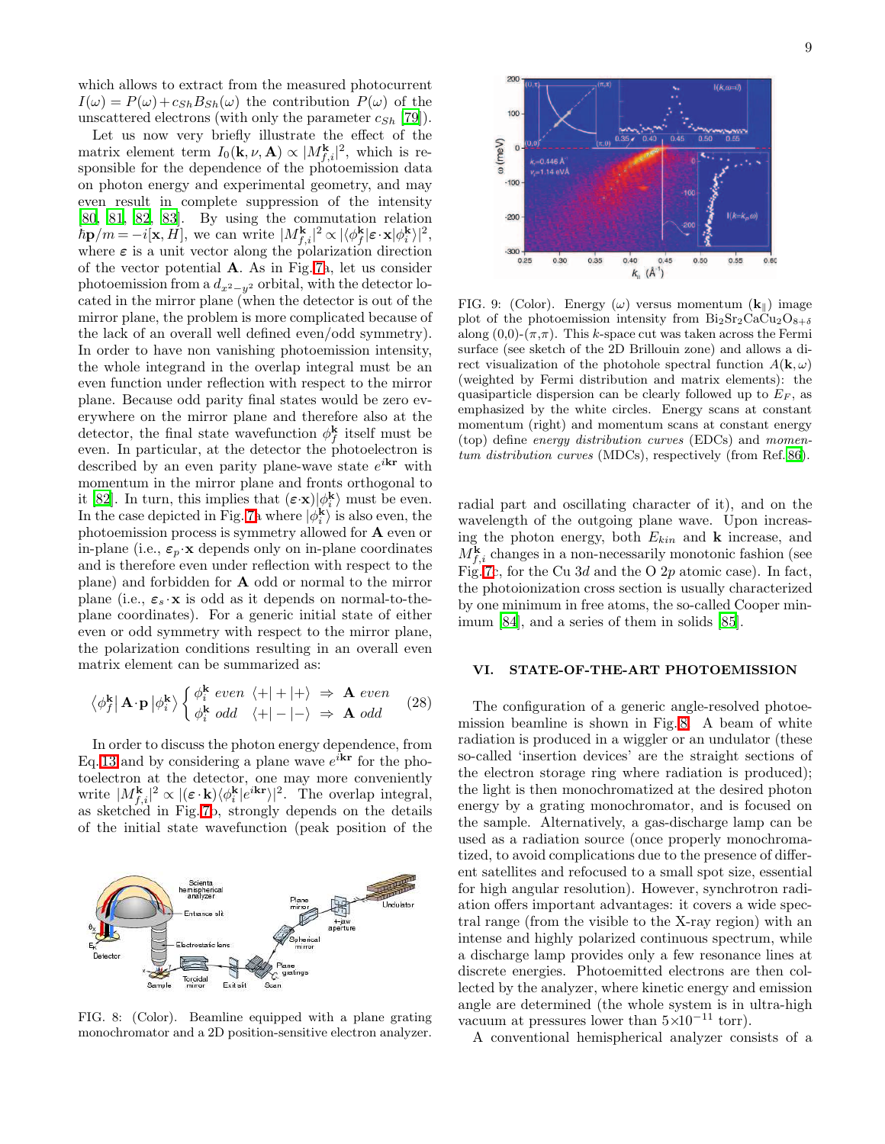which allows to extract from the measured photocurrent  $I(\omega) = P(\omega) + c_{Sh}B_{Sh}(\omega)$  the contribution  $P(\omega)$  of the unscattered electrons (with only the parameter  $c_{Sh}$  [\[79\]](#page-14-19)).

Let us now very briefly illustrate the effect of the matrix element term  $I_0(\mathbf{k}, \nu, \mathbf{A}) \propto |M_{f,i}^{\mathbf{k}}|^2$ , which is responsible for the dependence of the photoemission data on photon energy and experimental geometry, and may even result in complete suppression of the intensity [\[80,](#page-14-20) [81](#page-14-21), [82,](#page-14-22) [83\]](#page-14-23). By using the commutation relation  $\hbar \mathbf{p}/m = -i[\mathbf{x}, H]$ , we can write  $|M_{f,i}^{\mathbf{k}}|^2 \propto |\langle \phi_f^{\mathbf{k}}|$  $\frac{\mathbf{k}}{f}|\varepsilon\cdot\mathbf{x}|\phi_i^{\mathbf{k}}\rangle|^2,$ where  $\varepsilon$  is a unit vector along the polarization direction of the vector potential A. As in Fig. [7a](#page-7-4), let us consider photoemission from a  $d_{x^2-y^2}$  orbital, with the detector located in the mirror plane (when the detector is out of the mirror plane, the problem is more complicated because of the lack of an overall well defined even/odd symmetry). In order to have non vanishing photoemission intensity, the whole integrand in the overlap integral must be an even function under reflection with respect to the mirror plane. Because odd parity final states would be zero everywhere on the mirror plane and therefore also at the detector, the final state wavefunction  $\phi_f^{\mathbf{k}}$  $f$ <sub>f</sub> itself must be even. In particular, at the detector the photoelectron is described by an even parity plane-wave state  $e^{i\mathbf{k}\mathbf{r}}$  with momentum in the mirror plane and fronts orthogonal to it [\[82](#page-14-22)]. In turn, this implies that  $(\epsilon \cdot \mathbf{x}) | \phi_i^{\mathbf{k}}$  must be even. In the case depicted in Fig. [7a](#page-7-4) where  $|\phi_i^{\mathbf{k}}\rangle$  is also even, the photoemission process is symmetry allowed for A even or in-plane (i.e.,  $\varepsilon_p \cdot x$  depends only on in-plane coordinates and is therefore even under reflection with respect to the plane) and forbidden for A odd or normal to the mirror plane (i.e.,  $\varepsilon_s \cdot x$  is odd as it depends on normal-to-theplane coordinates). For a generic initial state of either even or odd symmetry with respect to the mirror plane, the polarization conditions resulting in an overall even matrix element can be summarized as:

$$
\left\langle \phi_f^{\mathbf{k}} \middle| \mathbf{A} \cdot \mathbf{p} \middle| \phi_i^{\mathbf{k}} \right\rangle \begin{cases} \phi_i^{\mathbf{k}} \text{ even } \left\langle + \middle| + \middle| + \right\rangle \Rightarrow \mathbf{A} \text{ even} \\ \phi_i^{\mathbf{k}} \text{ odd } \left\langle + \middle| - \left| - \right\rangle \Rightarrow \mathbf{A} \text{ odd} \end{cases} \tag{28}
$$

In order to discuss the photon energy dependence, from Eq. [13](#page-4-0) and by considering a plane wave  $e^{i\mathbf{k}\cdot\mathbf{r}}$  for the photoelectron at the detector, one may more conveniently write  $|M_{f,i}^{\mathbf{k}}|^2 \propto |(\boldsymbol{\varepsilon} \cdot \mathbf{k}) \langle \phi_i^{\mathbf{k}} | e^{i \mathbf{k} \mathbf{r}} \rangle|^2$ . The overlap integral, as sketched in Fig. [7b](#page-7-4), strongly depends on the details of the initial state wavefunction (peak position of the



<span id="page-8-1"></span>FIG. 8: (Color). Beamline equipped with a plane grating monochromator and a 2D position-sensitive electron analyzer.



<span id="page-8-2"></span>FIG. 9: (Color). Energy  $(\omega)$  versus momentum  $(\mathbf{k}_{\parallel})$  image plot of the photoemission intensity from  $Bi_2Sr_2CaCu_2O_{8+\delta}$ along  $(0,0)$ - $(\pi,\pi)$ . This k-space cut was taken across the Fermi surface (see sketch of the 2D Brillouin zone) and allows a direct visualization of the photohole spectral function  $A(\mathbf{k}, \omega)$ (weighted by Fermi distribution and matrix elements): the quasiparticle dispersion can be clearly followed up to  $E_F$ , as emphasized by the white circles. Energy scans at constant momentum (right) and momentum scans at constant energy (top) define energy distribution curves (EDCs) and momentum distribution curves (MDCs), respectively (from Ref. [86\)](#page-14-24).

radial part and oscillating character of it), and on the wavelength of the outgoing plane wave. Upon increasing the photon energy, both  $E_{kin}$  and  $\bf{k}$  increase, and  $M_{f,i}^{\mathbf{k}}$  changes in a non-necessarily monotonic fashion (see Fig. [7c](#page-7-4), for the Cu 3d and the O 2p atomic case). In fact, the photoionization cross section is usually characterized by one minimum in free atoms, the so-called Cooper minimum [\[84\]](#page-14-25), and a series of them in solids [\[85](#page-14-26)].

### VI. STATE-OF-THE-ART PHOTOEMISSION

<span id="page-8-0"></span>The configuration of a generic angle-resolved photoemission beamline is shown in Fig. [8.](#page-8-1) A beam of white radiation is produced in a wiggler or an undulator (these so-called 'insertion devices' are the straight sections of the electron storage ring where radiation is produced); the light is then monochromatized at the desired photon energy by a grating monochromator, and is focused on the sample. Alternatively, a gas-discharge lamp can be used as a radiation source (once properly monochromatized, to avoid complications due to the presence of different satellites and refocused to a small spot size, essential for high angular resolution). However, synchrotron radiation offers important advantages: it covers a wide spectral range (from the visible to the X-ray region) with an intense and highly polarized continuous spectrum, while a discharge lamp provides only a few resonance lines at discrete energies. Photoemitted electrons are then collected by the analyzer, where kinetic energy and emission angle are determined (the whole system is in ultra-high vacuum at pressures lower than  $5\times10^{-11}$  torr).

A conventional hemispherical analyzer consists of a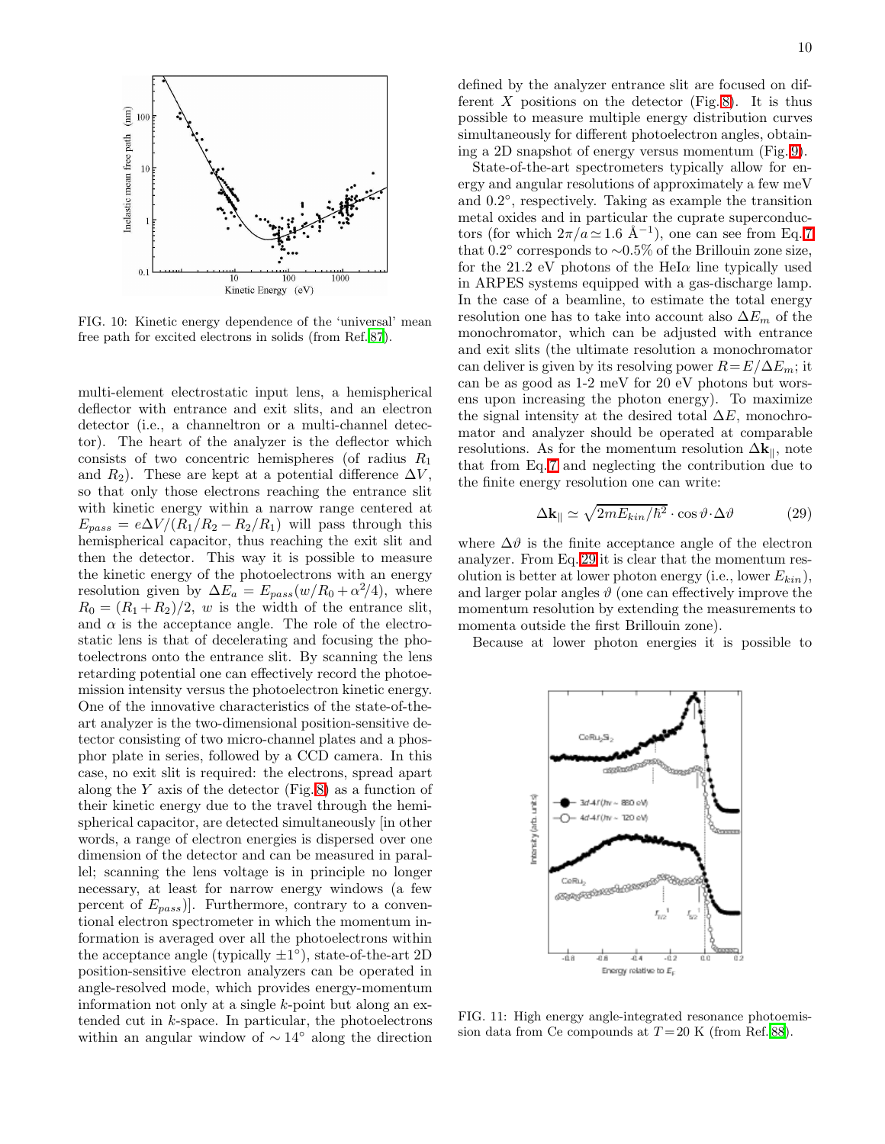

<span id="page-9-1"></span>FIG. 10: Kinetic energy dependence of the 'universal' mean free path for excited electrons in solids (from Ref. [87](#page-14-27)).

multi-element electrostatic input lens, a hemispherical deflector with entrance and exit slits, and an electron detector (i.e., a channeltron or a multi-channel detector). The heart of the analyzer is the deflector which consists of two concentric hemispheres (of radius  $R_1$ ) and  $R_2$ ). These are kept at a potential difference  $\Delta V$ , so that only those electrons reaching the entrance slit with kinetic energy within a narrow range centered at  $E_{pass} = e\Delta V/(R_1/R_2 - R_2/R_1)$  will pass through this hemispherical capacitor, thus reaching the exit slit and then the detector. This way it is possible to measure the kinetic energy of the photoelectrons with an energy resolution given by  $\Delta E_a = E_{pass}(w/R_0 + \alpha^2/4)$ , where  $R_0 = (R_1 + R_2)/2$ , w is the width of the entrance slit, and  $\alpha$  is the acceptance angle. The role of the electrostatic lens is that of decelerating and focusing the photoelectrons onto the entrance slit. By scanning the lens retarding potential one can effectively record the photoemission intensity versus the photoelectron kinetic energy. One of the innovative characteristics of the state-of-theart analyzer is the two-dimensional position-sensitive detector consisting of two micro-channel plates and a phosphor plate in series, followed by a CCD camera. In this case, no exit slit is required: the electrons, spread apart along the Y axis of the detector  $(Fig. 8)$  $(Fig. 8)$  as a function of their kinetic energy due to the travel through the hemispherical capacitor, are detected simultaneously [in other words, a range of electron energies is dispersed over one dimension of the detector and can be measured in parallel; scanning the lens voltage is in principle no longer necessary, at least for narrow energy windows (a few percent of  $E_{pass}$ ]. Furthermore, contrary to a conventional electron spectrometer in which the momentum information is averaged over all the photoelectrons within the acceptance angle (typically  $\pm 1^{\circ}$ ), state-of-the-art 2D position-sensitive electron analyzers can be operated in angle-resolved mode, which provides energy-momentum information not only at a single  $k$ -point but along an extended cut in k-space. In particular, the photoelectrons within an angular window of  $\sim 14°$  along the direction

defined by the analyzer entrance slit are focused on different  $X$  positions on the detector (Fig. [8\)](#page-8-1). It is thus possible to measure multiple energy distribution curves simultaneously for different photoelectron angles, obtaining a 2D snapshot of energy versus momentum (Fig. [9\)](#page-8-2).

State-of-the-art spectrometers typically allow for energy and angular resolutions of approximately a few meV and  $0.2^{\circ}$ , respectively. Taking as example the transition metal oxides and in particular the cuprate superconductors (for which  $2\pi/a \simeq 1.6$  Å<sup>-1</sup>), one can see from Eq. [7](#page-2-2) that 0.2◦ corresponds to ∼0.5% of the Brillouin zone size, for the 21.2 eV photons of the HeI $\alpha$  line typically used in ARPES systems equipped with a gas-discharge lamp. In the case of a beamline, to estimate the total energy resolution one has to take into account also  $\Delta E_m$  of the monochromator, which can be adjusted with entrance and exit slits (the ultimate resolution a monochromator can deliver is given by its resolving power  $R = E/\Delta E_m$ ; it can be as good as 1-2 meV for 20 eV photons but worsens upon increasing the photon energy). To maximize the signal intensity at the desired total  $\Delta E$ , monochromator and analyzer should be operated at comparable resolutions. As for the momentum resolution  $\Delta \mathbf{k}_{\parallel}$ , note that from Eq. [7](#page-2-2) and neglecting the contribution due to the finite energy resolution one can write:

$$
\Delta \mathbf{k}_{\parallel} \simeq \sqrt{2mE_{kin}/\hbar^2} \cdot \cos \vartheta \cdot \Delta \vartheta \tag{29}
$$

<span id="page-9-0"></span>where  $\Delta \vartheta$  is the finite acceptance angle of the electron analyzer. From Eq. [29](#page-9-0) it is clear that the momentum resolution is better at lower photon energy (i.e., lower  $E_{kin}$ ), and larger polar angles  $\vartheta$  (one can effectively improve the momentum resolution by extending the measurements to momenta outside the first Brillouin zone).

Because at lower photon energies it is possible to



<span id="page-9-2"></span>FIG. 11: High energy angle-integrated resonance photoemission data from Ce compounds at  $T = 20$  K (from Ref. [88](#page-14-28)).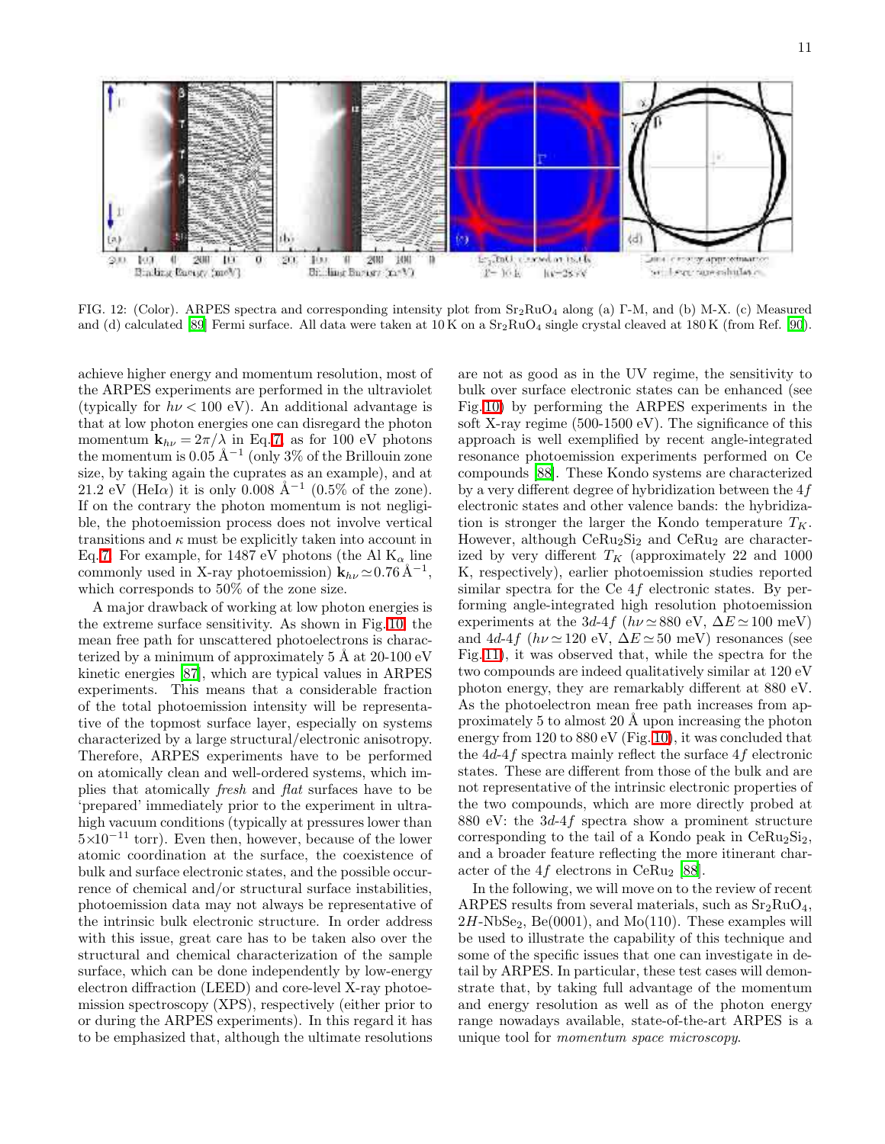

<span id="page-10-0"></span>FIG. 12: (Color). ARPES spectra and corresponding intensity plot from Sr2RuO<sup>4</sup> along (a) Γ-M, and (b) M-X. (c) Measured and (d) calculated [\[89](#page-14-29)] Fermi surface. All data were taken at 10 K on a  $Sr<sub>2</sub>RuO<sub>4</sub>$  single crystal cleaved at 180 K (from Ref. [90\)](#page-14-30).

achieve higher energy and momentum resolution, most of the ARPES experiments are performed in the ultraviolet (typically for  $h\nu < 100$  eV). An additional advantage is that at low photon energies one can disregard the photon momentum  $\mathbf{k}_{h\nu} = 2\pi/\lambda$  in Eq. [7,](#page-2-2) as for 100 eV photons the momentum is  $0.05 \text{ Å}^{-1}$  (only 3% of the Brillouin zone size, by taking again the cuprates as an example), and at 21.2 eV (HeI $\alpha$ ) it is only 0.008 Å<sup>-1</sup> (0.5% of the zone). If on the contrary the photon momentum is not negligible, the photoemission process does not involve vertical transitions and  $\kappa$  must be explicitly taken into account in Eq. [7.](#page-2-2) For example, for 1487 eV photons (the Al  $K_{\alpha}$  line commonly used in X-ray photoemission)  $\mathbf{k}_{h\nu} \approx 0.76 \,\mathrm{\AA}^{-1}$ , which corresponds to 50% of the zone size.

A major drawback of working at low photon energies is the extreme surface sensitivity. As shown in Fig. [10,](#page-9-1) the mean free path for unscattered photoelectrons is characterized by a minimum of approximately  $5 \text{ Å}$  at  $20\text{-}100 \text{ eV}$ kinetic energies [\[87\]](#page-14-27), which are typical values in ARPES experiments. This means that a considerable fraction of the total photoemission intensity will be representative of the topmost surface layer, especially on systems characterized by a large structural/electronic anisotropy. Therefore, ARPES experiments have to be performed on atomically clean and well-ordered systems, which implies that atomically fresh and flat surfaces have to be 'prepared' immediately prior to the experiment in ultrahigh vacuum conditions (typically at pressures lower than  $5\times10^{-11}$  torr). Even then, however, because of the lower atomic coordination at the surface, the coexistence of bulk and surface electronic states, and the possible occurrence of chemical and/or structural surface instabilities, photoemission data may not always be representative of the intrinsic bulk electronic structure. In order address with this issue, great care has to be taken also over the structural and chemical characterization of the sample surface, which can be done independently by low-energy electron diffraction (LEED) and core-level X-ray photoemission spectroscopy (XPS), respectively (either prior to or during the ARPES experiments). In this regard it has to be emphasized that, although the ultimate resolutions

are not as good as in the UV regime, the sensitivity to bulk over surface electronic states can be enhanced (see Fig. [10\)](#page-9-1) by performing the ARPES experiments in the soft X-ray regime (500-1500 eV). The significance of this approach is well exemplified by recent angle-integrated resonance photoemission experiments performed on Ce compounds [\[88\]](#page-14-28). These Kondo systems are characterized by a very different degree of hybridization between the  $4f$ electronic states and other valence bands: the hybridization is stronger the larger the Kondo temperature  $T_K$ . However, although  $CeRu<sub>2</sub>Si<sub>2</sub>$  and  $CeRu<sub>2</sub>$  are characterized by very different  $T_K$  (approximately 22 and 1000 K, respectively), earlier photoemission studies reported similar spectra for the Ce 4f electronic states. By performing angle-integrated high resolution photoemission experiments at the 3d-4f ( $h\nu \approx 880$  eV,  $\Delta E \approx 100$  meV) and 4d-4f ( $h\nu \approx 120$  eV,  $\Delta E \approx 50$  meV) resonances (see Fig. [11\)](#page-9-2), it was observed that, while the spectra for the two compounds are indeed qualitatively similar at 120 eV photon energy, they are remarkably different at 880 eV. As the photoelectron mean free path increases from approximately 5 to almost 20  $\AA$  upon increasing the photon energy from 120 to 880 eV (Fig. [10\)](#page-9-1), it was concluded that the 4d-4f spectra mainly reflect the surface 4f electronic states. These are different from those of the bulk and are not representative of the intrinsic electronic properties of the two compounds, which are more directly probed at 880 eV: the 3d-4f spectra show a prominent structure corresponding to the tail of a Kondo peak in  $CeRu<sub>2</sub>Si<sub>2</sub>$ , and a broader feature reflecting the more itinerant char-acter of the 4f electrons in CeRu<sub>2</sub> [\[88\]](#page-14-28).

In the following, we will move on to the review of recent ARPES results from several materials, such as  $Sr<sub>2</sub>RuO<sub>4</sub>$ ,  $2H\text{-NbSe}_2$ , Be(0001), and Mo(110). These examples will be used to illustrate the capability of this technique and some of the specific issues that one can investigate in detail by ARPES. In particular, these test cases will demonstrate that, by taking full advantage of the momentum and energy resolution as well as of the photon energy range nowadays available, state-of-the-art ARPES is a unique tool for momentum space microscopy.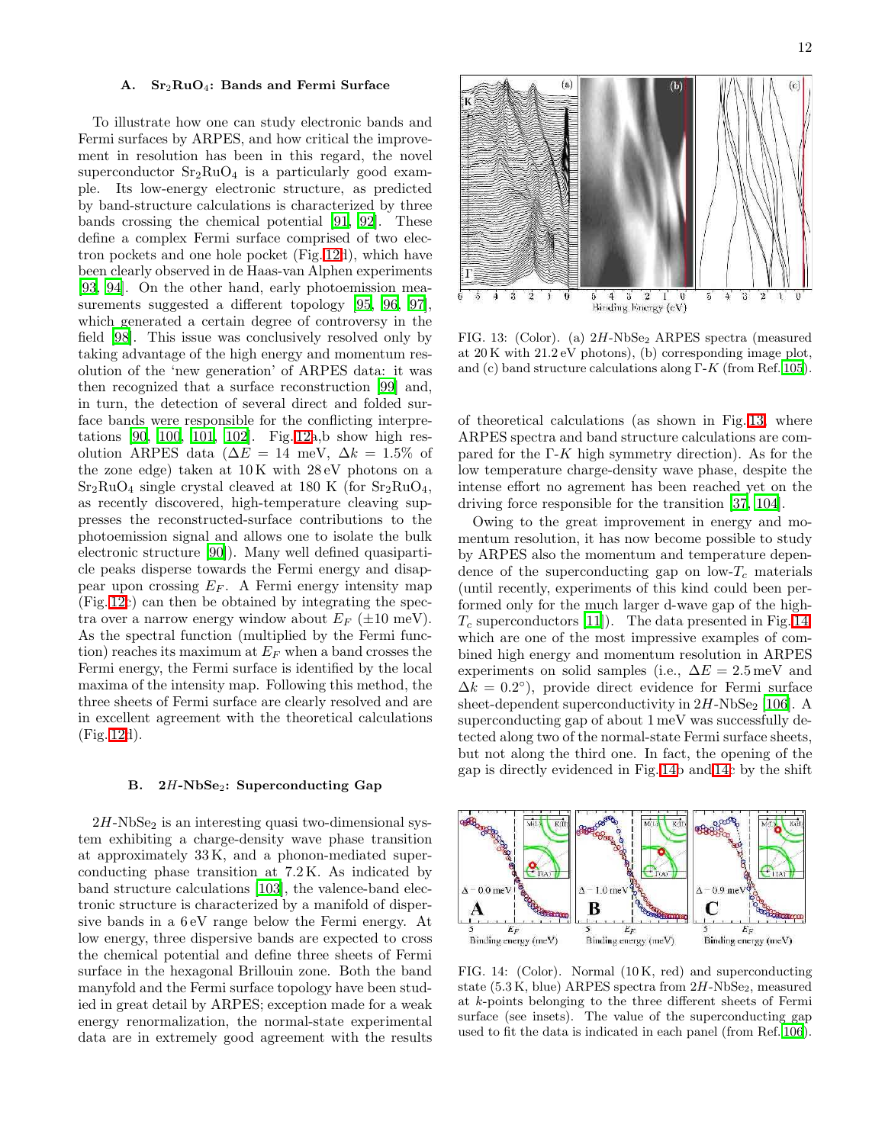#### A. Sr<sub>2</sub>RuO<sub>4</sub>: Bands and Fermi Surface

To illustrate how one can study electronic bands and Fermi surfaces by ARPES, and how critical the improvement in resolution has been in this regard, the novel superconductor  $Sr_2RuO_4$  is a particularly good example. Its low-energy electronic structure, as predicted by band-structure calculations is characterized by three bands crossing the chemical potential [\[91,](#page-14-31) [92\]](#page-14-32). These define a complex Fermi surface comprised of two electron pockets and one hole pocket (Fig. [12d](#page-10-0)), which have been clearly observed in de Haas-van Alphen experiments [\[93,](#page-14-33) [94\]](#page-14-34). On the other hand, early photoemission measurements suggested a different topology [\[95,](#page-14-35) [96](#page-14-36), [97\]](#page-14-37), which generated a certain degree of controversy in the field [\[98](#page-14-38)]. This issue was conclusively resolved only by taking advantage of the high energy and momentum resolution of the 'new generation' of ARPES data: it was then recognized that a surface reconstruction [\[99](#page-14-39)] and, in turn, the detection of several direct and folded surface bands were responsible for the conflicting interpretations [\[90,](#page-14-30) [100,](#page-14-40) [101](#page-14-41), [102](#page-14-42)]. Fig. [12a](#page-10-0),b show high resolution ARPES data ( $\Delta E = 14$  meV,  $\Delta k = 1.5\%$  of the zone edge) taken at 10 K with 28 eV photons on a  $Sr<sub>2</sub>RuO<sub>4</sub>$  single crystal cleaved at 180 K (for  $Sr<sub>2</sub>RuO<sub>4</sub>$ , as recently discovered, high-temperature cleaving suppresses the reconstructed-surface contributions to the photoemission signal and allows one to isolate the bulk electronic structure [\[90\]](#page-14-30)). Many well defined quasiparticle peaks disperse towards the Fermi energy and disappear upon crossing  $E_F$ . A Fermi energy intensity map (Fig. [12c](#page-10-0)) can then be obtained by integrating the spectra over a narrow energy window about  $E_F$  ( $\pm 10$  meV). As the spectral function (multiplied by the Fermi function) reaches its maximum at  $E_F$  when a band crosses the Fermi energy, the Fermi surface is identified by the local maxima of the intensity map. Following this method, the three sheets of Fermi surface are clearly resolved and are in excellent agreement with the theoretical calculations (Fig. [12d](#page-10-0)).

#### B.  $2H\text{-NbSe}_2$ : Superconducting Gap

 $2H\text{-NbSe}_2$  is an interesting quasi two-dimensional system exhibiting a charge-density wave phase transition at approximately 33 K, and a phonon-mediated superconducting phase transition at 7.2 K. As indicated by band structure calculations [\[103\]](#page-14-43), the valence-band electronic structure is characterized by a manifold of dispersive bands in a 6 eV range below the Fermi energy. At low energy, three dispersive bands are expected to cross the chemical potential and define three sheets of Fermi surface in the hexagonal Brillouin zone. Both the band manyfold and the Fermi surface topology have been studied in great detail by ARPES; exception made for a weak energy renormalization, the normal-state experimental data are in extremely good agreement with the results



<span id="page-11-0"></span>FIG. 13: (Color). (a)  $2H\text{-NbSe}_2$  ARPES spectra (measured at 20 K with 21.2 eV photons), (b) corresponding image plot, and (c) band structure calculations along  $\Gamma$ -K (from Ref. [105\)](#page-14-44).

of theoretical calculations (as shown in Fig. [13,](#page-11-0) where ARPES spectra and band structure calculations are compared for the  $\Gamma$ -K high symmetry direction). As for the low temperature charge-density wave phase, despite the intense effort no agrement has been reached yet on the driving force responsible for the transition [\[37](#page-13-38), [104](#page-14-45)].

Owing to the great improvement in energy and momentum resolution, it has now become possible to study by ARPES also the momentum and temperature dependence of the superconducting gap on low- $T_c$  materials (until recently, experiments of this kind could been performed only for the much larger d-wave gap of the high- $T_c$  superconductors [\[11\]](#page-13-10)). The data presented in Fig. [14,](#page-11-1) which are one of the most impressive examples of combined high energy and momentum resolution in ARPES experiments on solid samples (i.e.,  $\Delta E = 2.5 \,\text{meV}$  and  $\Delta k = 0.2^{\circ}$ , provide direct evidence for Fermi surface sheet-dependent superconductivity in  $2H\text{-}NbSe_2$  [\[106](#page-14-46)]. A superconducting gap of about 1 meV was successfully detected along two of the normal-state Fermi surface sheets, but not along the third one. In fact, the opening of the gap is directly evidenced in Fig. [14b](#page-11-1) and [14c](#page-11-1) by the shift



<span id="page-11-1"></span>FIG. 14: (Color). Normal (10 K, red) and superconducting state  $(5.3 \text{ K}, \text{blue})$  ARPES spectra from  $2H\text{-}NbSe_2$ , measured at k-points belonging to the three different sheets of Fermi surface (see insets). The value of the superconducting gap used to fit the data is indicated in each panel (from Ref. [106\)](#page-14-46).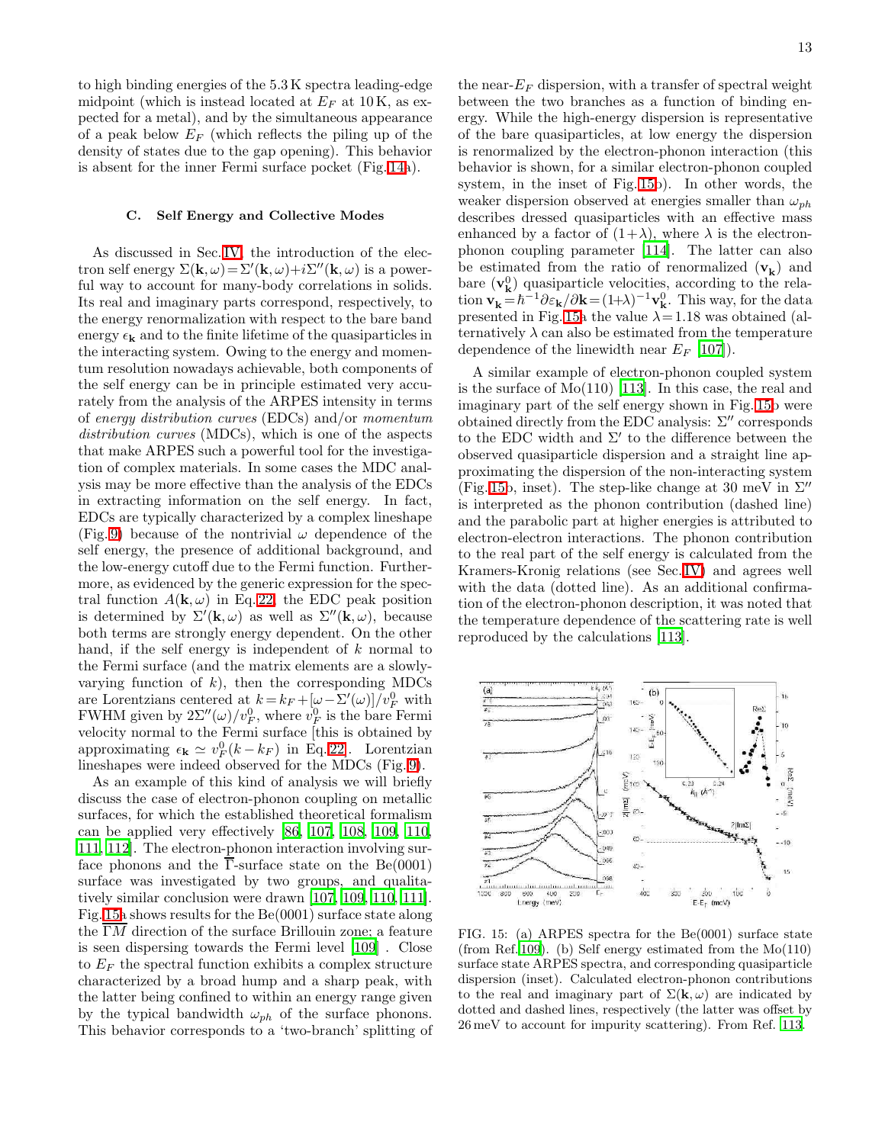to high binding energies of the 5.3 K spectra leading-edge midpoint (which is instead located at  $E_F$  at 10 K, as expected for a metal), and by the simultaneous appearance of a peak below  $E_F$  (which reflects the piling up of the density of states due to the gap opening). This behavior is absent for the inner Fermi surface pocket (Fig. [14a](#page-11-1)).

#### C. Self Energy and Collective Modes

As discussed in Sec. [IV,](#page-5-1) the introduction of the electron self energy  $\Sigma(\mathbf{k}, \omega) = \Sigma'(\mathbf{k}, \omega) + i \Sigma''(\mathbf{k}, \omega)$  is a powerful way to account for many-body correlations in solids. Its real and imaginary parts correspond, respectively, to the energy renormalization with respect to the bare band energy  $\epsilon_{\mathbf{k}}$  and to the finite lifetime of the quasiparticles in the interacting system. Owing to the energy and momentum resolution nowadays achievable, both components of the self energy can be in principle estimated very accurately from the analysis of the ARPES intensity in terms of energy distribution curves (EDCs) and/or momentum distribution curves (MDCs), which is one of the aspects that make ARPES such a powerful tool for the investigation of complex materials. In some cases the MDC analysis may be more effective than the analysis of the EDCs in extracting information on the self energy. In fact, EDCs are typically characterized by a complex lineshape (Fig. [9\)](#page-8-2) because of the nontrivial  $\omega$  dependence of the self energy, the presence of additional background, and the low-energy cutoff due to the Fermi function. Furthermore, as evidenced by the generic expression for the spectral function  $A(\mathbf{k}, \omega)$  in Eq. [22,](#page-6-2) the EDC peak position is determined by  $\Sigma'(\mathbf{k}, \omega)$  as well as  $\Sigma''(\mathbf{k}, \omega)$ , because both terms are strongly energy dependent. On the other hand, if the self energy is independent of  $k$  normal to the Fermi surface (and the matrix elements are a slowlyvarying function of  $k$ ), then the corresponding MDCs are Lorentzians centered at  $k = k_F + [\omega - \Sigma'(\omega)]/v_F^0$  with FWHM given by  $2\Sigma''(\omega)/v_F^0$ , where  $v_F^0$  is the bare Fermi velocity normal to the Fermi surface [this is obtained by approximating  $\epsilon_{\mathbf{k}} \simeq v_F^0(k - k_F)$  in Eq. [22\]](#page-6-2). Lorentzian lineshapes were indeed observed for the MDCs (Fig. [9\)](#page-8-2).

As an example of this kind of analysis we will briefly discuss the case of electron-phonon coupling on metallic surfaces, for which the established theoretical formalism can be applied very effectively [\[86](#page-14-24), [107,](#page-14-47) [108,](#page-14-48) [109,](#page-14-49) [110,](#page-14-50) [111,](#page-14-51) [112\]](#page-14-52). The electron-phonon interaction involving surface phonons and the  $\overline{\Gamma}$ -surface state on the Be(0001) surface was investigated by two groups, and qualitatively similar conclusion were drawn [\[107](#page-14-47), [109](#page-14-49), [110,](#page-14-50) [111\]](#page-14-51). Fig. [15a](#page-12-0) shows results for the Be(0001) surface state along the  $\overline{\Gamma}M$  direction of the surface Brillouin zone; a feature is seen dispersing towards the Fermi level [\[109](#page-14-49)] . Close to  $E_F$  the spectral function exhibits a complex structure characterized by a broad hump and a sharp peak, with the latter being confined to within an energy range given by the typical bandwidth  $\omega_{ph}$  of the surface phonons. This behavior corresponds to a 'two-branch' splitting of

the near- $E_F$  dispersion, with a transfer of spectral weight between the two branches as a function of binding energy. While the high-energy dispersion is representative of the bare quasiparticles, at low energy the dispersion is renormalized by the electron-phonon interaction (this behavior is shown, for a similar electron-phonon coupled system, in the inset of Fig. [15b](#page-12-0)). In other words, the weaker dispersion observed at energies smaller than  $\omega_{ph}$ describes dressed quasiparticles with an effective mass enhanced by a factor of  $(1+\lambda)$ , where  $\lambda$  is the electronphonon coupling parameter [\[114\]](#page-14-53). The latter can also be estimated from the ratio of renormalized  $(\mathbf{v}_{\mathbf{k}})$  and bare  $(v_k^0)$  quasiparticle velocities, according to the relation  $\mathbf{v}_{\mathbf{k}} = \hbar^{-1}\partial \varepsilon_{\mathbf{k}}/\partial \mathbf{k} = (1+\lambda)^{-1}\mathbf{v}_{\mathbf{k}}^0$ . This way, for the data presented in Fig. [15a](#page-12-0) the value  $\lambda = 1.18$  was obtained (alternatively  $\lambda$  can also be estimated from the temperature dependence of the linewidth near  $E_F$  [\[107\]](#page-14-47)).

A similar example of electron-phonon coupled system is the surface of  $Mo(110)$  [\[113\]](#page-14-54). In this case, the real and imaginary part of the self energy shown in Fig. [15b](#page-12-0) were obtained directly from the EDC analysis:  $\Sigma''$  corresponds to the EDC width and  $\Sigma'$  to the difference between the observed quasiparticle dispersion and a straight line approximating the dispersion of the non-interacting system (Fig. [15b](#page-12-0), inset). The step-like change at 30 meV in  $\Sigma''$ is interpreted as the phonon contribution (dashed line) and the parabolic part at higher energies is attributed to electron-electron interactions. The phonon contribution to the real part of the self energy is calculated from the Kramers-Kronig relations (see Sec. [IV\)](#page-5-1) and agrees well with the data (dotted line). As an additional confirmation of the electron-phonon description, it was noted that the temperature dependence of the scattering rate is well reproduced by the calculations [\[113\]](#page-14-54).



<span id="page-12-0"></span>FIG. 15: (a) ARPES spectra for the Be(0001) surface state (from Ref. [109](#page-14-49)). (b) Self energy estimated from the Mo(110) surface state ARPES spectra, and corresponding quasiparticle dispersion (inset). Calculated electron-phonon contributions to the real and imaginary part of  $\Sigma(\mathbf{k}, \omega)$  are indicated by dotted and dashed lines, respectively (the latter was offset by 26 meV to account for impurity scattering). From Ref. [113.](#page-14-54)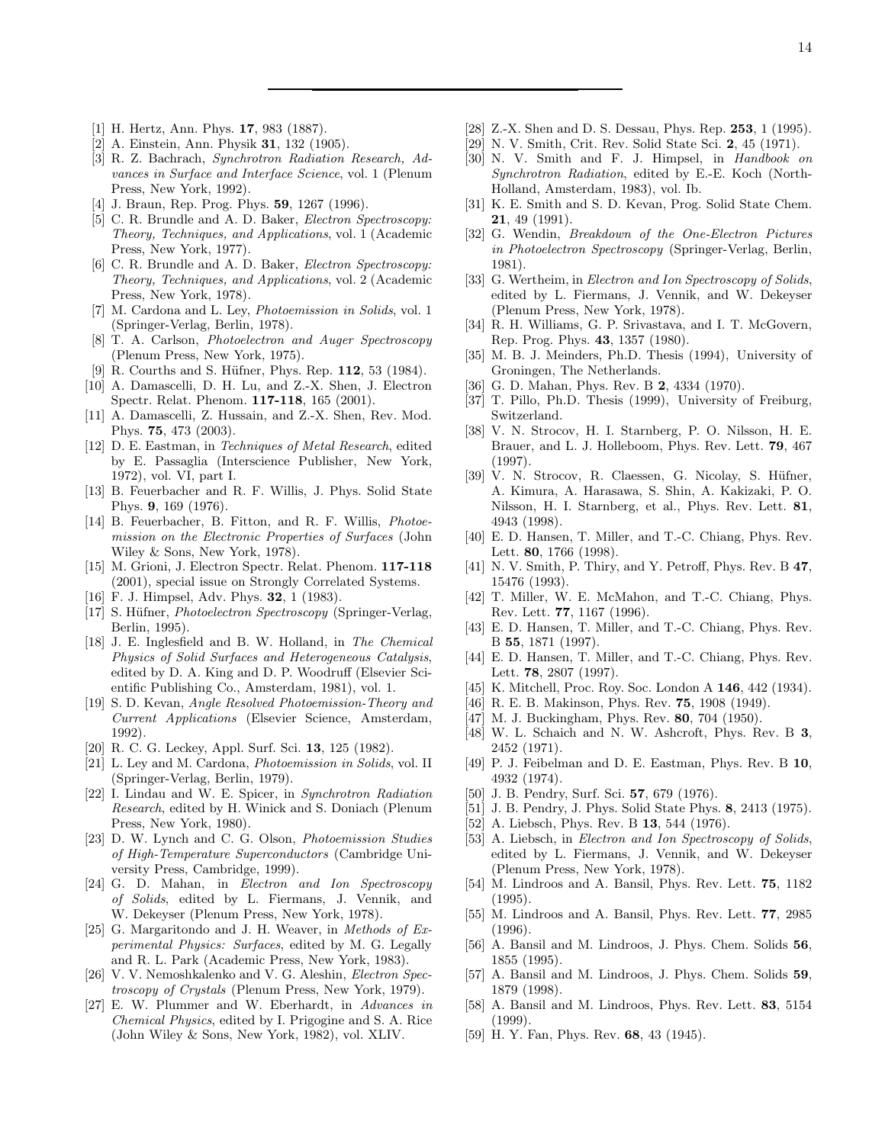- <span id="page-13-0"></span>[1] H. Hertz, Ann. Phys. 17, 983 (1887).
- <span id="page-13-1"></span>[2] A. Einstein, Ann. Physik 31, 132 (1905).
- <span id="page-13-2"></span>[3] R. Z. Bachrach, Synchrotron Radiation Research, Advances in Surface and Interface Science, vol. 1 (Plenum Press, New York, 1992).
- <span id="page-13-3"></span>[4] J. Braun, Rep. Prog. Phys. **59**, 1267 (1996).
- <span id="page-13-4"></span>[5] C. R. Brundle and A. D. Baker, *Electron Spectroscopy:* Theory, Techniques, and Applications, vol. 1 (Academic Press, New York, 1977).
- <span id="page-13-5"></span>[6] C. R. Brundle and A. D. Baker, *Electron Spectroscopy:* Theory, Techniques, and Applications, vol. 2 (Academic Press, New York, 1978).
- <span id="page-13-6"></span>[7] M. Cardona and L. Ley, *Photoemission in Solids*, vol. 1 (Springer-Verlag, Berlin, 1978).
- <span id="page-13-7"></span>[8] T. A. Carlson, *Photoelectron and Auger Spectroscopy* (Plenum Press, New York, 1975).
- [9] R. Courths and S. Hüfner, Phys. Rep. 112, 53 (1984).
- <span id="page-13-9"></span><span id="page-13-8"></span>[10] A. Damascelli, D. H. Lu, and Z.-X. Shen, J. Electron Spectr. Relat. Phenom. **117-118**, 165 (2001).
- <span id="page-13-10"></span>[11] A. Damascelli, Z. Hussain, and Z.-X. Shen, Rev. Mod. Phys. 75, 473 (2003).
- <span id="page-13-11"></span>[12] D. E. Eastman, in Techniques of Metal Research, edited by E. Passaglia (Interscience Publisher, New York, 1972), vol. VI, part I.
- <span id="page-13-12"></span>[13] B. Feuerbacher and R. F. Willis, J. Phys. Solid State Phys. 9, 169 (1976).
- <span id="page-13-13"></span>[14] B. Feuerbacher, B. Fitton, and R. F. Willis, Photoemission on the Electronic Properties of Surfaces (John Wiley & Sons, New York, 1978).
- <span id="page-13-14"></span>[15] M. Grioni, J. Electron Spectr. Relat. Phenom. 117-118 (2001), special issue on Strongly Correlated Systems.
- <span id="page-13-15"></span>[16] F. J. Himpsel, Adv. Phys. 32, 1 (1983).
- <span id="page-13-16"></span>[17] S. Hüfner, *Photoelectron Spectroscopy* (Springer-Verlag, Berlin, 1995).
- <span id="page-13-17"></span>[18] J. E. Inglesfield and B. W. Holland, in The Chemical Physics of Solid Surfaces and Heterogeneous Catalysis, edited by D. A. King and D. P. Woodruff (Elsevier Scientific Publishing Co., Amsterdam, 1981), vol. 1.
- <span id="page-13-18"></span>[19] S. D. Kevan, Angle Resolved Photoemission-Theory and Current Applications (Elsevier Science, Amsterdam, 1992).
- <span id="page-13-19"></span>[20] R. C. G. Leckey, Appl. Surf. Sci. 13, 125 (1982).
- <span id="page-13-20"></span>[21] L. Ley and M. Cardona, *Photoemission in Solids*, vol. II (Springer-Verlag, Berlin, 1979).
- <span id="page-13-21"></span>[22] I. Lindau and W. E. Spicer, in Synchrotron Radiation Research, edited by H. Winick and S. Doniach (Plenum Press, New York, 1980).
- <span id="page-13-22"></span>[23] D. W. Lynch and C. G. Olson, *Photoemission Studies* of High-Temperature Superconductors (Cambridge University Press, Cambridge, 1999).
- <span id="page-13-23"></span>[24] G. D. Mahan, in Electron and Ion Spectroscopy of Solids, edited by L. Fiermans, J. Vennik, and W. Dekeyser (Plenum Press, New York, 1978).
- <span id="page-13-24"></span>[25] G. Margaritondo and J. H. Weaver, in Methods of Experimental Physics: Surfaces, edited by M. G. Legally and R. L. Park (Academic Press, New York, 1983).
- <span id="page-13-25"></span>[26] V. V. Nemoshkalenko and V. G. Aleshin, *Electron Spec*troscopy of Crystals (Plenum Press, New York, 1979).
- <span id="page-13-26"></span>[27] E. W. Plummer and W. Eberhardt, in Advances in Chemical Physics, edited by I. Prigogine and S. A. Rice (John Wiley & Sons, New York, 1982), vol. XLIV.
- <span id="page-13-28"></span><span id="page-13-27"></span>[28] Z.-X. Shen and D. S. Dessau, Phys. Rep. 253, 1 (1995).
- [29] N. V. Smith, Crit. Rev. Solid State Sci. 2, 45 (1971).
- <span id="page-13-29"></span>[30] N. V. Smith and F. J. Himpsel, in Handbook on Synchrotron Radiation, edited by E.-E. Koch (North-Holland, Amsterdam, 1983), vol. Ib.
- <span id="page-13-30"></span>[31] K. E. Smith and S. D. Kevan, Prog. Solid State Chem. 21, 49 (1991).
- <span id="page-13-31"></span>[32] G. Wendin, Breakdown of the One-Electron Pictures in Photoelectron Spectroscopy (Springer-Verlag, Berlin, 1981).
- <span id="page-13-32"></span>[33] G. Wertheim, in Electron and Ion Spectroscopy of Solids, edited by L. Fiermans, J. Vennik, and W. Dekeyser (Plenum Press, New York, 1978).
- <span id="page-13-33"></span>[34] R. H. Williams, G. P. Srivastava, and I. T. McGovern, Rep. Prog. Phys. 43, 1357 (1980).
- <span id="page-13-34"></span>[35] M. B. J. Meinders, Ph.D. Thesis (1994), University of Groningen, The Netherlands.
- [36] G. D. Mahan, Phys. Rev. B 2, 4334 (1970).
- <span id="page-13-38"></span><span id="page-13-35"></span>[37] T. Pillo, Ph.D. Thesis (1999), University of Freiburg, Switzerland.
- <span id="page-13-36"></span>[38] V. N. Strocov, H. I. Starnberg, P. O. Nilsson, H. E. Brauer, and L. J. Holleboom, Phys. Rev. Lett. 79, 467 (1997).
- <span id="page-13-37"></span>[39] V. N. Strocov, R. Claessen, G. Nicolay, S. Hüfner, A. Kimura, A. Harasawa, S. Shin, A. Kakizaki, P. O. Nilsson, H. I. Starnberg, et al., Phys. Rev. Lett. 81, 4943 (1998).
- <span id="page-13-39"></span>[40] E. D. Hansen, T. Miller, and T.-C. Chiang, Phys. Rev. Lett. 80, 1766 (1998).
- <span id="page-13-40"></span>[41] N. V. Smith, P. Thiry, and Y. Petroff, Phys. Rev. B 47, 15476 (1993).
- <span id="page-13-41"></span>[42] T. Miller, W. E. McMahon, and T.-C. Chiang, Phys. Rev. Lett. 77, 1167 (1996).
- <span id="page-13-42"></span>[43] E. D. Hansen, T. Miller, and T.-C. Chiang, Phys. Rev. B 55, 1871 (1997).
- <span id="page-13-43"></span>[44] E. D. Hansen, T. Miller, and T.-C. Chiang, Phys. Rev. Lett. 78, 2807 (1997).
- [45] K. Mitchell, Proc. Roy. Soc. London A **146**, 442 (1934).
- <span id="page-13-46"></span><span id="page-13-45"></span><span id="page-13-44"></span>[46] R. E. B. Makinson, Phys. Rev. 75, 1908 (1949).
- [47] M. J. Buckingham, Phys. Rev. 80, 704 (1950).
- <span id="page-13-47"></span>[48] W. L. Schaich and N. W. Ashcroft, Phys. Rev. B 3, 2452 (1971).
- <span id="page-13-48"></span>[49] P. J. Feibelman and D. E. Eastman, Phys. Rev. B 10, 4932 (1974).
- <span id="page-13-49"></span>[50] J. B. Pendry, Surf. Sci. 57, 679 (1976).
- [51] J. B. Pendry, J. Phys. Solid State Phys. 8, 2413 (1975).
- <span id="page-13-52"></span><span id="page-13-51"></span><span id="page-13-50"></span>[52] A. Liebsch, Phys. Rev. B 13, 544 (1976).
- [53] A. Liebsch, in *Electron and Ion Spectroscopy of Solids*, edited by L. Fiermans, J. Vennik, and W. Dekeyser (Plenum Press, New York, 1978).
- <span id="page-13-53"></span>[54] M. Lindroos and A. Bansil, Phys. Rev. Lett. 75, 1182 (1995).
- <span id="page-13-54"></span>[55] M. Lindroos and A. Bansil, Phys. Rev. Lett. 77, 2985 (1996).
- <span id="page-13-55"></span>[56] A. Bansil and M. Lindroos, J. Phys. Chem. Solids 56, 1855 (1995).
- <span id="page-13-56"></span>[57] A. Bansil and M. Lindroos, J. Phys. Chem. Solids 59, 1879 (1998).
- <span id="page-13-57"></span>[58] A. Bansil and M. Lindroos, Phys. Rev. Lett. 83, 5154 (1999).
- <span id="page-13-58"></span>[59] H. Y. Fan, Phys. Rev. **68**, 43 (1945).